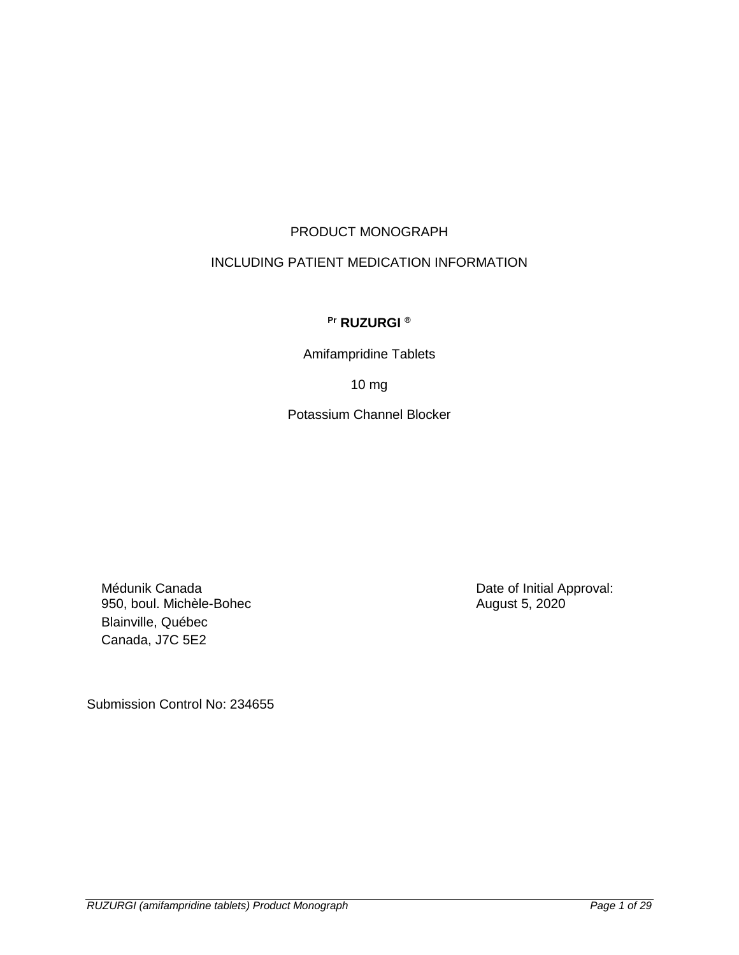# PRODUCT MONOGRAPH

# INCLUDING PATIENT MEDICATION INFORMATION

# **Pr RUZURGI ®**

Amifampridine Tablets

10 mg

Potassium Channel Blocker

Médunik Canada 950, boul. Michèle-Bohec Blainville, Québec Canada, J7C 5E2

Date of Initial Approval: August 5, 2020

Submission Control No: 234655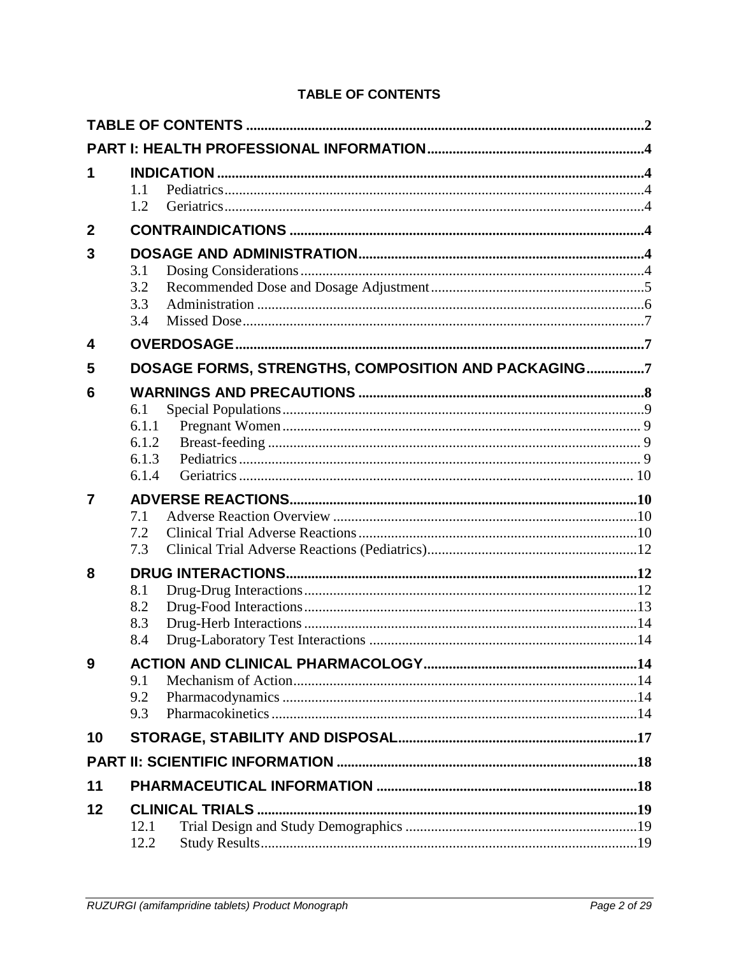|  | <b>TABLE OF CONTENTS</b> |
|--|--------------------------|
|  |                          |

<span id="page-1-0"></span>

|              | 1.1<br>1.2                                          |  |
|--------------|-----------------------------------------------------|--|
| $\mathbf{2}$ |                                                     |  |
| 3            | 3.1<br>3.2<br>3.3<br>3.4                            |  |
| 4            |                                                     |  |
| 5            | DOSAGE FORMS, STRENGTHS, COMPOSITION AND PACKAGING7 |  |
| 6            | 6.1<br>6.1.1<br>6.1.2<br>6.1.3<br>6.1.4             |  |
| 7            | 7.1<br>7.2<br>7.3                                   |  |
| 8            | 8.1<br>8.2<br>8.3<br>8.4                            |  |
| 9            | 9.1<br>9.2<br>9.3                                   |  |
| 10           |                                                     |  |
|              |                                                     |  |
| 11           |                                                     |  |
| 12           | 12.1<br>12.2                                        |  |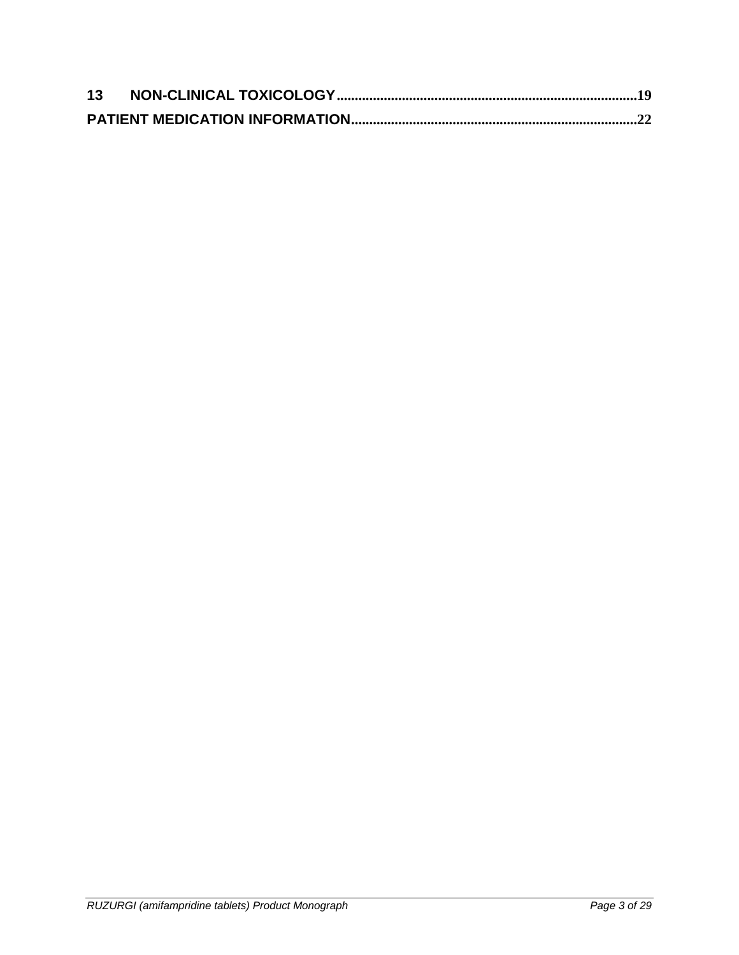| 13 |  |
|----|--|
|    |  |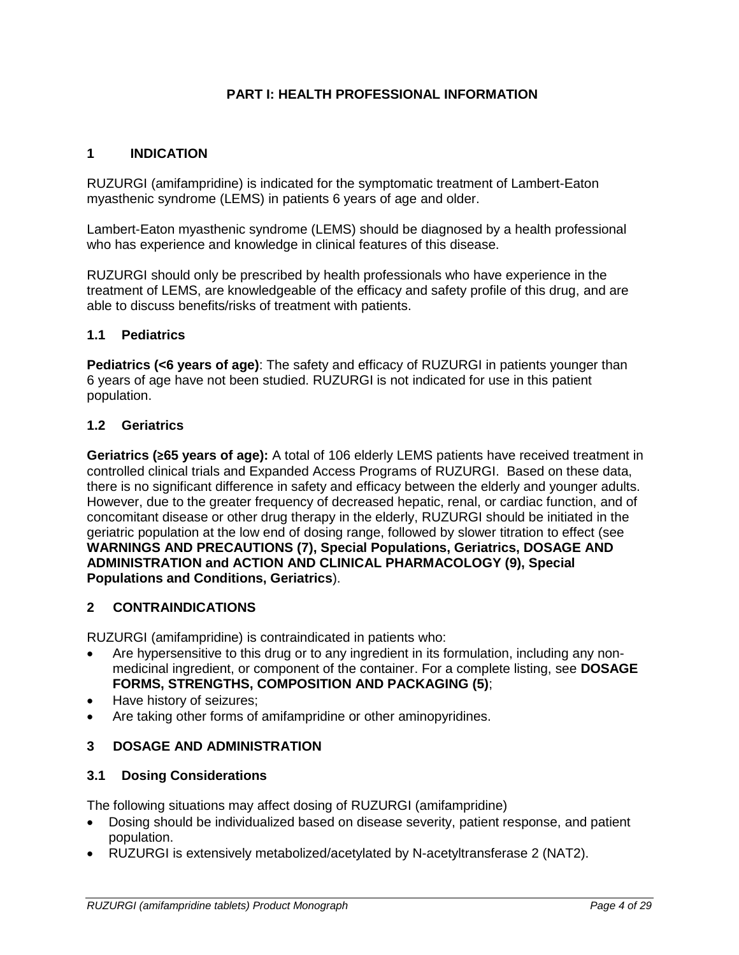## **PART I: HEALTH PROFESSIONAL INFORMATION**

## <span id="page-3-1"></span><span id="page-3-0"></span>**1 INDICATION**

RUZURGI (amifampridine) is indicated for the symptomatic treatment of Lambert-Eaton myasthenic syndrome (LEMS) in patients 6 years of age and older.

Lambert-Eaton myasthenic syndrome (LEMS) should be diagnosed by a health professional who has experience and knowledge in clinical features of this disease.

RUZURGI should only be prescribed by health professionals who have experience in the treatment of LEMS, are knowledgeable of the efficacy and safety profile of this drug, and are able to discuss benefits/risks of treatment with patients.

### <span id="page-3-2"></span>**1.1 Pediatrics**

**Pediatrics (<6 years of age)**: The safety and efficacy of RUZURGI in patients younger than 6 years of age have not been studied. RUZURGI is not indicated for use in this patient population.

### <span id="page-3-3"></span>**1.2 Geriatrics**

**Geriatrics (≥65 years of age):** A total of 106 elderly LEMS patients have received treatment in controlled clinical trials and Expanded Access Programs of RUZURGI. Based on these data, there is no significant difference in safety and efficacy between the elderly and younger adults. However, due to the greater frequency of decreased hepatic, renal, or cardiac function, and of concomitant disease or other drug therapy in the elderly, RUZURGI should be initiated in the geriatric population at the low end of dosing range, followed by slower titration to effect (see **WARNINGS AND PRECAUTIONS (7), Special Populations, Geriatrics, DOSAGE AND ADMINISTRATION and ACTION AND CLINICAL PHARMACOLOGY (9), Special Populations and Conditions, Geriatrics**).

### <span id="page-3-4"></span>**2 CONTRAINDICATIONS**

RUZURGI (amifampridine) is contraindicated in patients who:

- Are hypersensitive to this drug or to any ingredient in its formulation, including any nonmedicinal ingredient, or component of the container. For a complete listing, see **DOSAGE FORMS, STRENGTHS, COMPOSITION AND PACKAGING (5)**;
- Have history of seizures;
- Are taking other forms of amifampridine or other aminopyridines.

### <span id="page-3-5"></span>**3 DOSAGE AND ADMINISTRATION**

### <span id="page-3-6"></span>**3.1 Dosing Considerations**

The following situations may affect dosing of RUZURGI (amifampridine)

- Dosing should be individualized based on disease severity, patient response, and patient population.
- RUZURGI is extensively metabolized/acetylated by N-acetyltransferase 2 (NAT2).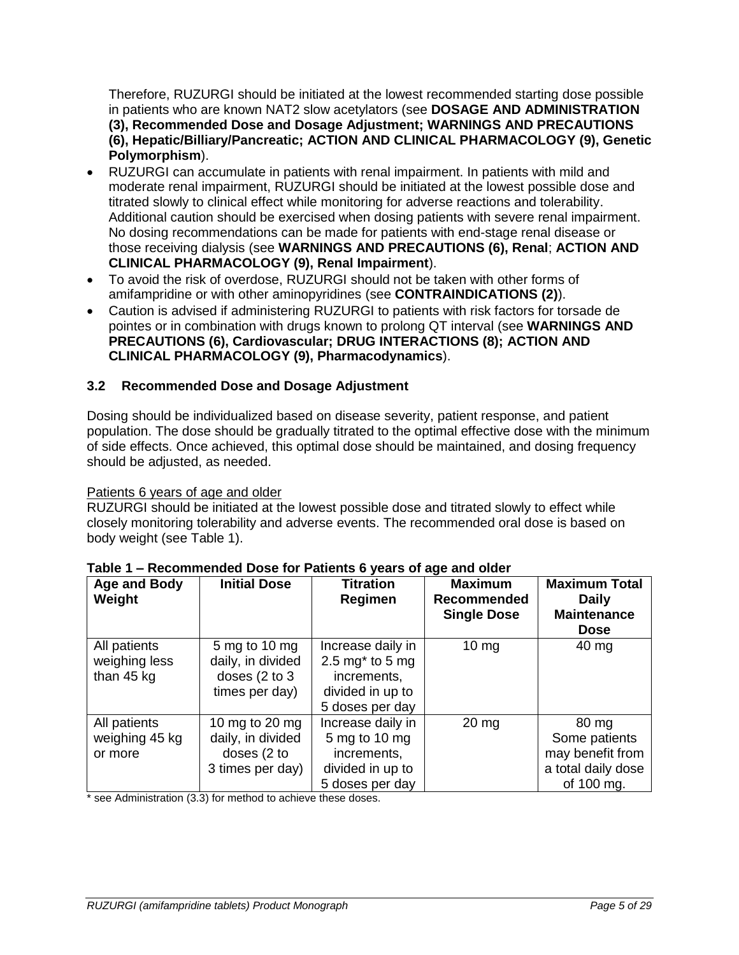Therefore, RUZURGI should be initiated at the lowest recommended starting dose possible in patients who are known NAT2 slow acetylators (see **DOSAGE AND ADMINISTRATION (3), Recommended Dose and Dosage Adjustment; WARNINGS AND PRECAUTIONS (6), Hepatic/Billiary/Pancreatic; ACTION AND CLINICAL PHARMACOLOGY (9), Genetic Polymorphism**).

- RUZURGI can accumulate in patients with renal impairment. In patients with mild and moderate renal impairment, RUZURGI should be initiated at the lowest possible dose and titrated slowly to clinical effect while monitoring for adverse reactions and tolerability. Additional caution should be exercised when dosing patients with severe renal impairment. No dosing recommendations can be made for patients with end-stage renal disease or those receiving dialysis (see **WARNINGS AND PRECAUTIONS (6), Renal**; **ACTION AND CLINICAL PHARMACOLOGY (9), Renal Impairment**).
- To avoid the risk of overdose, RUZURGI should not be taken with other forms of amifampridine or with other aminopyridines (see **CONTRAINDICATIONS (2)**).
- Caution is advised if administering RUZURGI to patients with risk factors for torsade de pointes or in combination with drugs known to prolong QT interval (see **WARNINGS AND PRECAUTIONS (6), Cardiovascular; DRUG INTERACTIONS (8); ACTION AND CLINICAL PHARMACOLOGY (9), Pharmacodynamics**).

# <span id="page-4-0"></span>**3.2 Recommended Dose and Dosage Adjustment**

Dosing should be individualized based on disease severity, patient response, and patient population. The dose should be gradually titrated to the optimal effective dose with the minimum of side effects. Once achieved, this optimal dose should be maintained, and dosing frequency should be adjusted, as needed.

# Patients 6 years of age and older

RUZURGI should be initiated at the lowest possible dose and titrated slowly to effect while closely monitoring tolerability and adverse events. The recommended oral dose is based on body weight (see Table 1).

| <b>Age and Body</b><br>Weight               | <b>Initial Dose</b>                                                               | <b>Titration</b><br>Regimen                                                                   | <b>Maximum</b><br>Recommended<br><b>Single Dose</b> | <b>Maximum Total</b><br><b>Daily</b><br><b>Maintenance</b><br><b>Dose</b>      |
|---------------------------------------------|-----------------------------------------------------------------------------------|-----------------------------------------------------------------------------------------------|-----------------------------------------------------|--------------------------------------------------------------------------------|
| All patients<br>weighing less<br>than 45 kg | 5 mg to 10 mg<br>daily, in divided<br>doses $(2 \text{ to } 3)$<br>times per day) | Increase daily in<br>2.5 mg $*$ to 5 mg<br>increments,<br>divided in up to<br>5 doses per day | $10 \text{ mg}$                                     | $40 \text{ mg}$                                                                |
| All patients<br>weighing 45 kg<br>or more   | 10 mg to 20 mg<br>daily, in divided<br>doses (2 to<br>3 times per day)            | Increase daily in<br>5 mg to 10 mg<br>increments,<br>divided in up to<br>5 doses per day      | $20 \, mg$                                          | 80 mg<br>Some patients<br>may benefit from<br>a total daily dose<br>of 100 mg. |

### **Table 1 – Recommended Dose for Patients 6 years of age and older**

\* see Administration (3.3) for method to achieve these doses.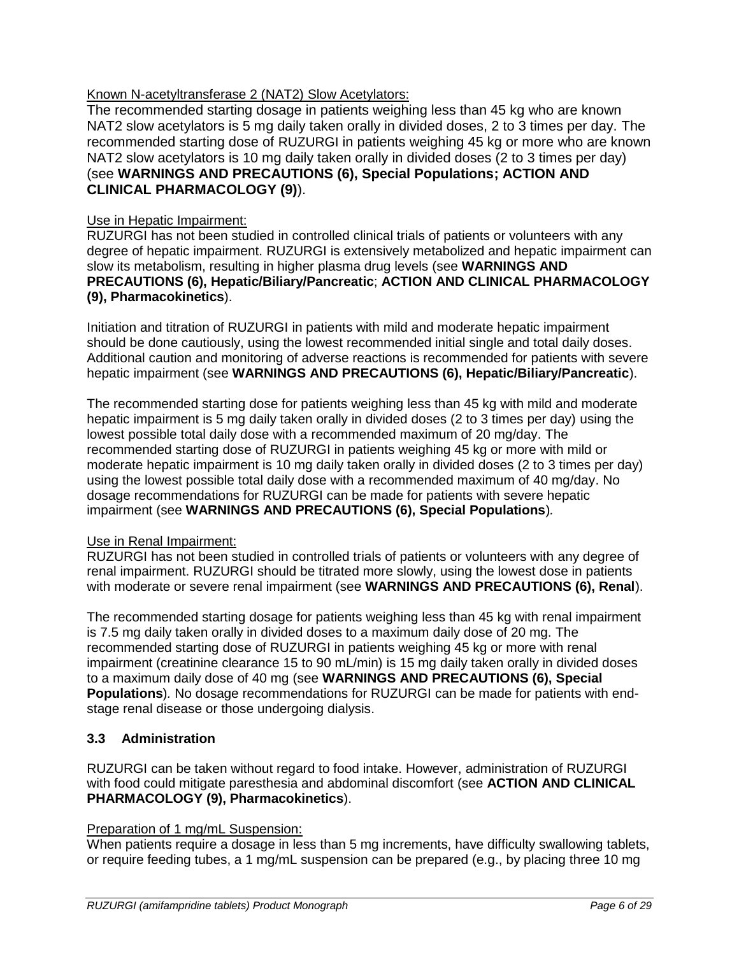# Known N-acetyltransferase 2 (NAT2) Slow Acetylators:

The recommended starting dosage in patients weighing less than 45 kg who are known NAT2 slow acetylators is 5 mg daily taken orally in divided doses, 2 to 3 times per day. The recommended starting dose of RUZURGI in patients weighing 45 kg or more who are known NAT2 slow acetylators is 10 mg daily taken orally in divided doses (2 to 3 times per day) (see **WARNINGS AND PRECAUTIONS (6), Special Populations; ACTION AND CLINICAL PHARMACOLOGY (9)**).

#### Use in Hepatic Impairment:

RUZURGI has not been studied in controlled clinical trials of patients or volunteers with any degree of hepatic impairment. RUZURGI is extensively metabolized and hepatic impairment can slow its metabolism, resulting in higher plasma drug levels (see **WARNINGS AND PRECAUTIONS (6), Hepatic/Biliary/Pancreatic**; **ACTION AND CLINICAL PHARMACOLOGY (9), Pharmacokinetics**).

Initiation and titration of RUZURGI in patients with mild and moderate hepatic impairment should be done cautiously, using the lowest recommended initial single and total daily doses. Additional caution and monitoring of adverse reactions is recommended for patients with severe hepatic impairment (see **WARNINGS AND PRECAUTIONS (6), Hepatic/Biliary/Pancreatic**).

The recommended starting dose for patients weighing less than 45 kg with mild and moderate hepatic impairment is 5 mg daily taken orally in divided doses (2 to 3 times per day) using the lowest possible total daily dose with a recommended maximum of 20 mg/day. The recommended starting dose of RUZURGI in patients weighing 45 kg or more with mild or moderate hepatic impairment is 10 mg daily taken orally in divided doses (2 to 3 times per day) using the lowest possible total daily dose with a recommended maximum of 40 mg/day. No dosage recommendations for RUZURGI can be made for patients with severe hepatic impairment (see **WARNINGS AND PRECAUTIONS (6), Special Populations**)*.*

### Use in Renal Impairment:

RUZURGI has not been studied in controlled trials of patients or volunteers with any degree of renal impairment. RUZURGI should be titrated more slowly, using the lowest dose in patients with moderate or severe renal impairment (see **WARNINGS AND PRECAUTIONS (6), Renal**).

The recommended starting dosage for patients weighing less than 45 kg with renal impairment is 7.5 mg daily taken orally in divided doses to a maximum daily dose of 20 mg. The recommended starting dose of RUZURGI in patients weighing 45 kg or more with renal impairment (creatinine clearance 15 to 90 mL/min) is 15 mg daily taken orally in divided doses to a maximum daily dose of 40 mg (see **WARNINGS AND PRECAUTIONS (6), Special Populations**)*.* No dosage recommendations for RUZURGI can be made for patients with endstage renal disease or those undergoing dialysis.

### <span id="page-5-0"></span>**3.3 Administration**

RUZURGI can be taken without regard to food intake. However, administration of RUZURGI with food could mitigate paresthesia and abdominal discomfort (see **ACTION AND CLINICAL PHARMACOLOGY (9), Pharmacokinetics**).

#### Preparation of 1 mg/mL Suspension:

When patients require a dosage in less than 5 mg increments, have difficulty swallowing tablets, or require feeding tubes, a 1 mg/mL suspension can be prepared (e.g., by placing three 10 mg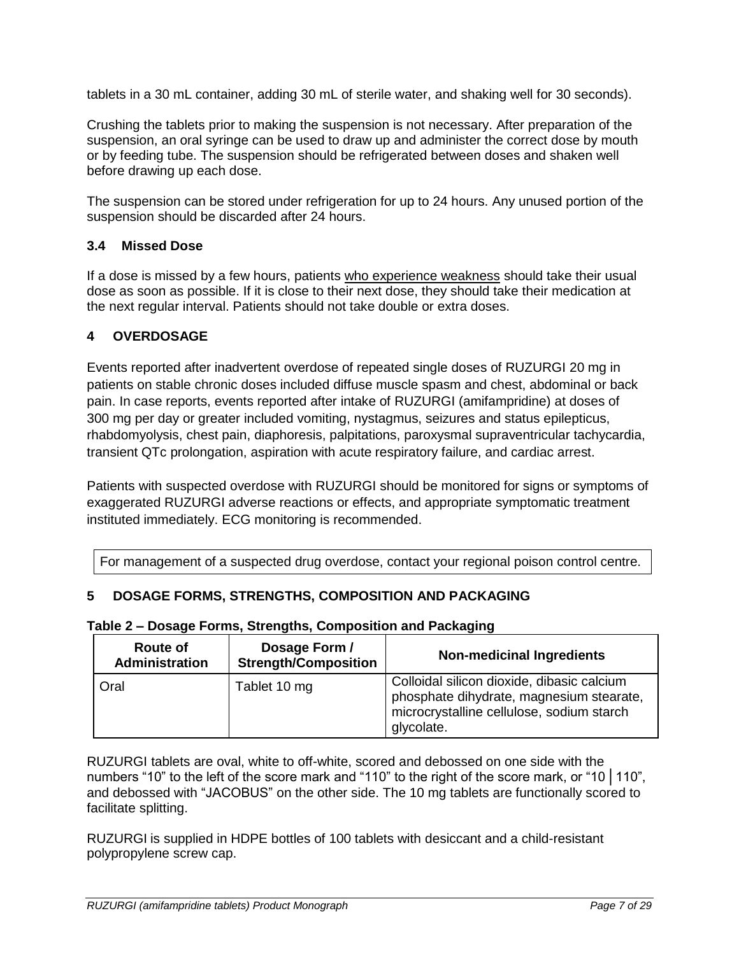tablets in a 30 mL container, adding 30 mL of sterile water, and shaking well for 30 seconds).

Crushing the tablets prior to making the suspension is not necessary. After preparation of the suspension, an oral syringe can be used to draw up and administer the correct dose by mouth or by feeding tube. The suspension should be refrigerated between doses and shaken well before drawing up each dose.

The suspension can be stored under refrigeration for up to 24 hours. Any unused portion of the suspension should be discarded after 24 hours.

# <span id="page-6-0"></span>**3.4 Missed Dose**

If a dose is missed by a few hours, patients who experience weakness should take their usual dose as soon as possible. If it is close to their next dose, they should take their medication at the next regular interval. Patients should not take double or extra doses.

# <span id="page-6-1"></span>**4 OVERDOSAGE**

Events reported after inadvertent overdose of repeated single doses of RUZURGI 20 mg in patients on stable chronic doses included diffuse muscle spasm and chest, abdominal or back pain. In case reports, events reported after intake of RUZURGI (amifampridine) at doses of 300 mg per day or greater included vomiting, nystagmus, seizures and status epilepticus, rhabdomyolysis, chest pain, diaphoresis, palpitations, paroxysmal supraventricular tachycardia, transient QTc prolongation, aspiration with acute respiratory failure, and cardiac arrest.

Patients with suspected overdose with RUZURGI should be monitored for signs or symptoms of exaggerated RUZURGI adverse reactions or effects, and appropriate symptomatic treatment instituted immediately. ECG monitoring is recommended.

For management of a suspected drug overdose, contact your regional poison control centre.

# <span id="page-6-2"></span>**5 DOSAGE FORMS, STRENGTHS, COMPOSITION AND PACKAGING**

#### **Table 2 – Dosage Forms, Strengths, Composition and Packaging**

| Route of<br>Administration | Dosage Form /<br><b>Strength/Composition</b> | <b>Non-medicinal Ingredients</b>                                                                                                                  |
|----------------------------|----------------------------------------------|---------------------------------------------------------------------------------------------------------------------------------------------------|
| Oral                       | Tablet 10 mg                                 | Colloidal silicon dioxide, dibasic calcium<br>phosphate dihydrate, magnesium stearate,<br>microcrystalline cellulose, sodium starch<br>glycolate. |

RUZURGI tablets are oval, white to off-white, scored and debossed on one side with the numbers "10" to the left of the score mark and "110" to the right of the score mark, or "10 | 110", and debossed with "JACOBUS" on the other side. The 10 mg tablets are functionally scored to facilitate splitting.

RUZURGI is supplied in HDPE bottles of 100 tablets with desiccant and a child-resistant polypropylene screw cap.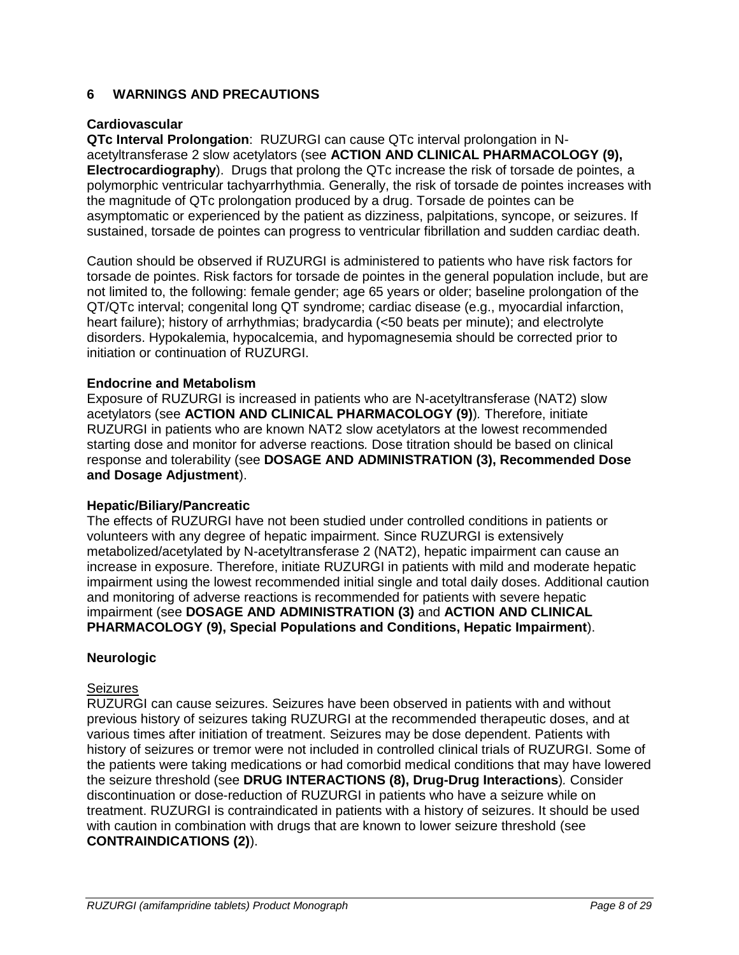## <span id="page-7-0"></span>**6 WARNINGS AND PRECAUTIONS**

### **Cardiovascular**

**QTc Interval Prolongation**: RUZURGI can cause QTc interval prolongation in Nacetyltransferase 2 slow acetylators (see **ACTION AND CLINICAL PHARMACOLOGY (9), Electrocardiography**). Drugs that prolong the QTc increase the risk of torsade de pointes, a polymorphic ventricular tachyarrhythmia. Generally, the risk of torsade de pointes increases with the magnitude of QTc prolongation produced by a drug. Torsade de pointes can be asymptomatic or experienced by the patient as dizziness, palpitations, syncope, or seizures. If sustained, torsade de pointes can progress to ventricular fibrillation and sudden cardiac death.

Caution should be observed if RUZURGI is administered to patients who have risk factors for torsade de pointes. Risk factors for torsade de pointes in the general population include, but are not limited to, the following: female gender; age 65 years or older; baseline prolongation of the QT/QTc interval; congenital long QT syndrome; cardiac disease (e.g., myocardial infarction, heart failure); history of arrhythmias; bradycardia (<50 beats per minute); and electrolyte disorders. Hypokalemia, hypocalcemia, and hypomagnesemia should be corrected prior to initiation or continuation of RUZURGI.

#### **Endocrine and Metabolism**

Exposure of RUZURGI is increased in patients who are N-acetyltransferase (NAT2) slow acetylators (see **ACTION AND CLINICAL PHARMACOLOGY (9)**)*.* Therefore, initiate RUZURGI in patients who are known NAT2 slow acetylators at the lowest recommended starting dose and monitor for adverse reactions*.* Dose titration should be based on clinical response and tolerability (see **DOSAGE AND ADMINISTRATION (3), Recommended Dose and Dosage Adjustment**).

### **Hepatic/Biliary/Pancreatic**

The effects of RUZURGI have not been studied under controlled conditions in patients or volunteers with any degree of hepatic impairment. Since RUZURGI is extensively metabolized/acetylated by N-acetyltransferase 2 (NAT2), hepatic impairment can cause an increase in exposure. Therefore, initiate RUZURGI in patients with mild and moderate hepatic impairment using the lowest recommended initial single and total daily doses. Additional caution and monitoring of adverse reactions is recommended for patients with severe hepatic impairment (see **DOSAGE AND ADMINISTRATION (3)** and **ACTION AND CLINICAL PHARMACOLOGY (9), Special Populations and Conditions, Hepatic Impairment**).

#### **Neurologic**

#### Seizures

RUZURGI can cause seizures. Seizures have been observed in patients with and without previous history of seizures taking RUZURGI at the recommended therapeutic doses, and at various times after initiation of treatment. Seizures may be dose dependent. Patients with history of seizures or tremor were not included in controlled clinical trials of RUZURGI. Some of the patients were taking medications or had comorbid medical conditions that may have lowered the seizure threshold (see **DRUG INTERACTIONS (8), Drug-Drug Interactions**)*.* Consider discontinuation or dose-reduction of RUZURGI in patients who have a seizure while on treatment. RUZURGI is contraindicated in patients with a history of seizures. It should be used with caution in combination with drugs that are known to lower seizure threshold (see **CONTRAINDICATIONS (2)**).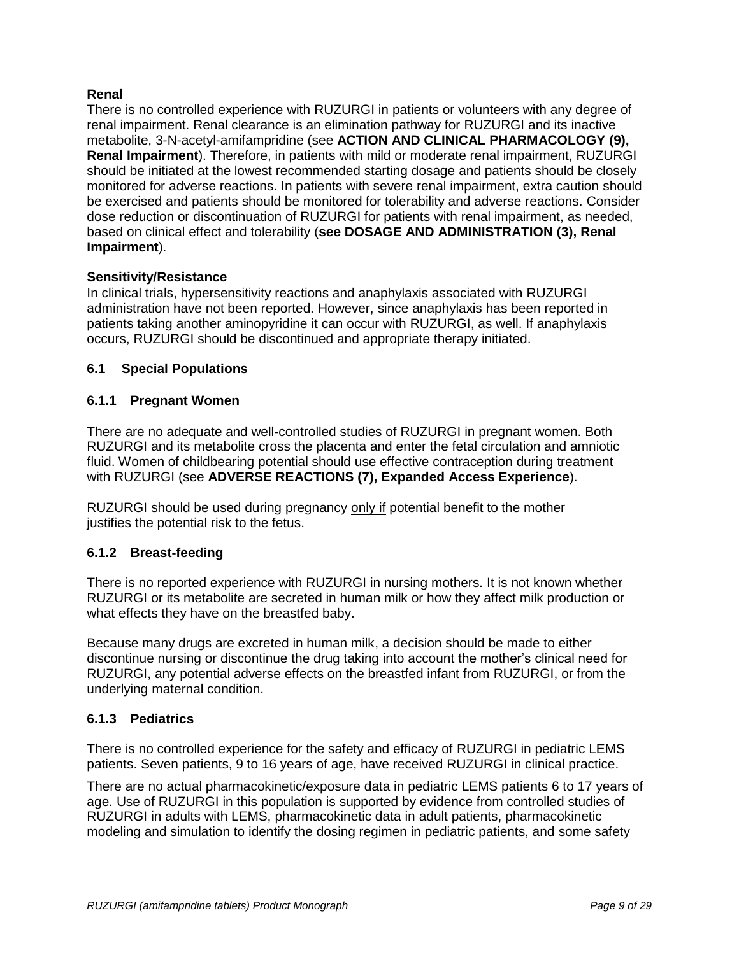## **Renal**

There is no controlled experience with RUZURGI in patients or volunteers with any degree of renal impairment. Renal clearance is an elimination pathway for RUZURGI and its inactive metabolite, 3-N-acetyl-amifampridine (see **ACTION AND CLINICAL PHARMACOLOGY (9), Renal Impairment**). Therefore, in patients with mild or moderate renal impairment, RUZURGI should be initiated at the lowest recommended starting dosage and patients should be closely monitored for adverse reactions. In patients with severe renal impairment, extra caution should be exercised and patients should be monitored for tolerability and adverse reactions. Consider dose reduction or discontinuation of RUZURGI for patients with renal impairment, as needed, based on clinical effect and tolerability (**see DOSAGE AND ADMINISTRATION (3), Renal Impairment**).

### **Sensitivity/Resistance**

In clinical trials, hypersensitivity reactions and anaphylaxis associated with RUZURGI administration have not been reported. However, since anaphylaxis has been reported in patients taking another aminopyridine it can occur with RUZURGI, as well. If anaphylaxis occurs, RUZURGI should be discontinued and appropriate therapy initiated.

## <span id="page-8-0"></span>**6.1 Special Populations**

## <span id="page-8-1"></span>**6.1.1 Pregnant Women**

There are no adequate and well-controlled studies of RUZURGI in pregnant women. Both RUZURGI and its metabolite cross the placenta and enter the fetal circulation and amniotic fluid. Women of childbearing potential should use effective contraception during treatment with RUZURGI (see **ADVERSE REACTIONS (7), Expanded Access Experience**).

RUZURGI should be used during pregnancy only if potential benefit to the mother justifies the potential risk to the fetus.

### <span id="page-8-2"></span>**6.1.2 Breast-feeding**

There is no reported experience with RUZURGI in nursing mothers. It is not known whether RUZURGI or its metabolite are secreted in human milk or how they affect milk production or what effects they have on the breastfed baby.

Because many drugs are excreted in human milk, a decision should be made to either discontinue nursing or discontinue the drug taking into account the mother's clinical need for RUZURGI, any potential adverse effects on the breastfed infant from RUZURGI, or from the underlying maternal condition.

### <span id="page-8-3"></span>**6.1.3 Pediatrics**

There is no controlled experience for the safety and efficacy of RUZURGI in pediatric LEMS patients. Seven patients, 9 to 16 years of age, have received RUZURGI in clinical practice.

There are no actual pharmacokinetic/exposure data in pediatric LEMS patients 6 to 17 years of age. Use of RUZURGI in this population is supported by evidence from controlled studies of RUZURGI in adults with LEMS, pharmacokinetic data in adult patients, pharmacokinetic modeling and simulation to identify the dosing regimen in pediatric patients, and some safety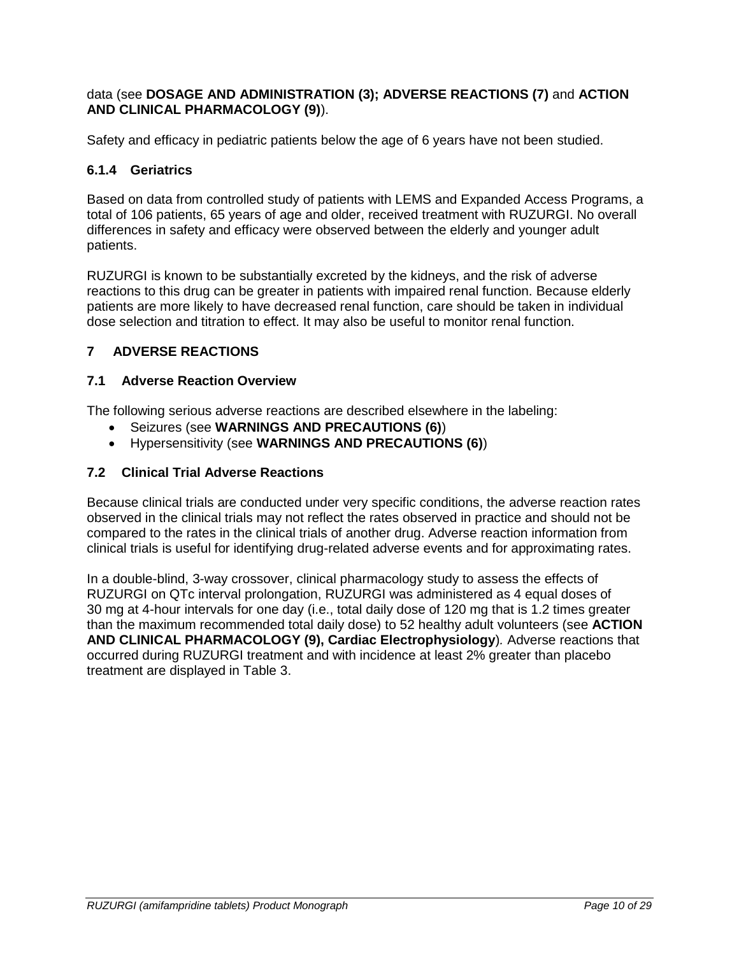data (see **DOSAGE AND ADMINISTRATION (3); ADVERSE REACTIONS (7)** and **ACTION AND CLINICAL PHARMACOLOGY (9)**).

Safety and efficacy in pediatric patients below the age of 6 years have not been studied.

## <span id="page-9-0"></span>**6.1.4 Geriatrics**

Based on data from controlled study of patients with LEMS and Expanded Access Programs, a total of 106 patients, 65 years of age and older, received treatment with RUZURGI. No overall differences in safety and efficacy were observed between the elderly and younger adult patients.

RUZURGI is known to be substantially excreted by the kidneys, and the risk of adverse reactions to this drug can be greater in patients with impaired renal function. Because elderly patients are more likely to have decreased renal function, care should be taken in individual dose selection and titration to effect. It may also be useful to monitor renal function.

# <span id="page-9-1"></span>**7 ADVERSE REACTIONS**

## <span id="page-9-2"></span>**7.1 Adverse Reaction Overview**

The following serious adverse reactions are described elsewhere in the labeling:

- Seizures (see **WARNINGS AND PRECAUTIONS (6)**)
- Hypersensitivity (see **WARNINGS AND PRECAUTIONS (6)**)

## <span id="page-9-3"></span>**7.2 Clinical Trial Adverse Reactions**

Because clinical trials are conducted under very specific conditions, the adverse reaction rates observed in the clinical trials may not reflect the rates observed in practice and should not be compared to the rates in the clinical trials of another drug. Adverse reaction information from clinical trials is useful for identifying drug-related adverse events and for approximating rates.

In a double-blind, 3-way crossover, clinical pharmacology study to assess the effects of RUZURGI on QTc interval prolongation, RUZURGI was administered as 4 equal doses of 30 mg at 4-hour intervals for one day (i.e., total daily dose of 120 mg that is 1.2 times greater than the maximum recommended total daily dose) to 52 healthy adult volunteers (see **ACTION AND CLINICAL PHARMACOLOGY (9), Cardiac Electrophysiology**)*.* Adverse reactions that occurred during RUZURGI treatment and with incidence at least 2% greater than placebo treatment are displayed in Table 3.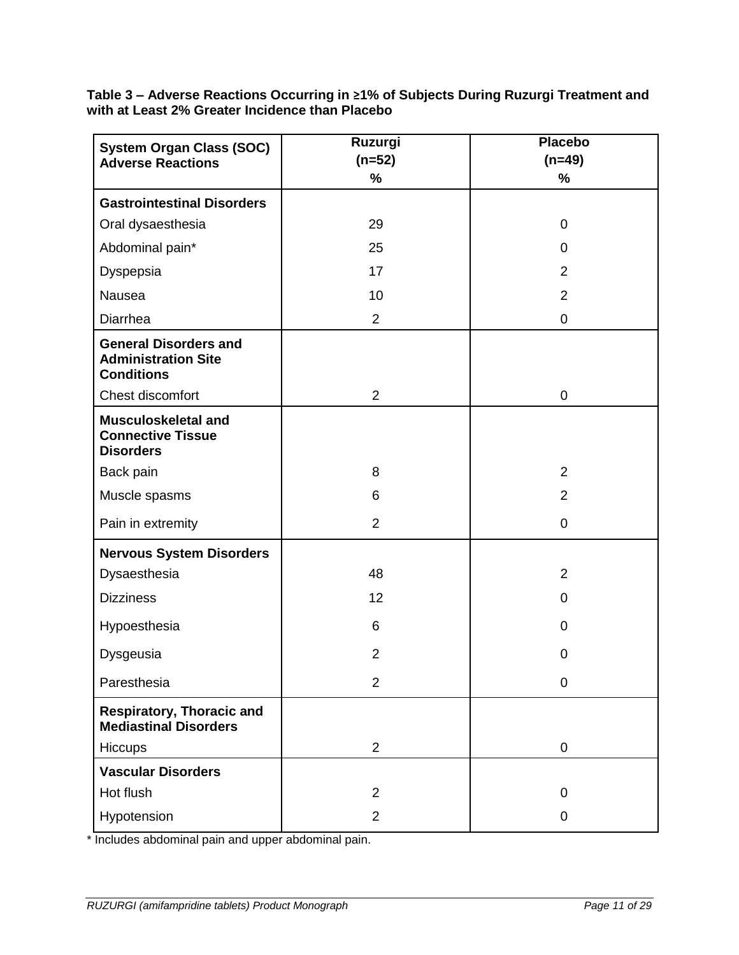**Table 3 – Adverse Reactions Occurring in ≥1% of Subjects During Ruzurgi Treatment and with at Least 2% Greater Incidence than Placebo**

| <b>System Organ Class (SOC)</b>                                                 | Ruzurgi        | <b>Placebo</b>   |
|---------------------------------------------------------------------------------|----------------|------------------|
| <b>Adverse Reactions</b>                                                        | $(n=52)$       | $(n=49)$         |
|                                                                                 | %              | %                |
| <b>Gastrointestinal Disorders</b>                                               |                |                  |
| Oral dysaesthesia                                                               | 29             | 0                |
| Abdominal pain*                                                                 | 25             | 0                |
| Dyspepsia                                                                       | 17             | $\overline{2}$   |
| Nausea                                                                          | 10             | $\overline{2}$   |
| Diarrhea                                                                        | $\overline{2}$ | $\boldsymbol{0}$ |
| <b>General Disorders and</b><br><b>Administration Site</b><br><b>Conditions</b> |                |                  |
| Chest discomfort                                                                | $\overline{2}$ | $\mathbf 0$      |
| Musculoskeletal and<br><b>Connective Tissue</b><br><b>Disorders</b>             |                |                  |
| Back pain                                                                       | 8              | $\overline{2}$   |
| Muscle spasms                                                                   | 6              | $\overline{2}$   |
| Pain in extremity                                                               | $\overline{2}$ | $\mathbf 0$      |
| <b>Nervous System Disorders</b>                                                 |                |                  |
| Dysaesthesia                                                                    | 48             | $\overline{2}$   |
| <b>Dizziness</b>                                                                | 12             | $\mathbf 0$      |
| Hypoesthesia                                                                    | 6              | $\mathbf 0$      |
| Dysgeusia                                                                       | $\overline{2}$ | $\mathbf 0$      |
| Paresthesia                                                                     | $\overline{2}$ | $\mathbf 0$      |
| <b>Respiratory, Thoracic and</b><br><b>Mediastinal Disorders</b>                |                |                  |
| Hiccups                                                                         | $\overline{2}$ | $\boldsymbol{0}$ |
| <b>Vascular Disorders</b>                                                       |                |                  |
| Hot flush                                                                       | $\overline{2}$ | 0                |
| Hypotension                                                                     | $\overline{2}$ | $\mathbf 0$      |

\* Includes abdominal pain and upper abdominal pain.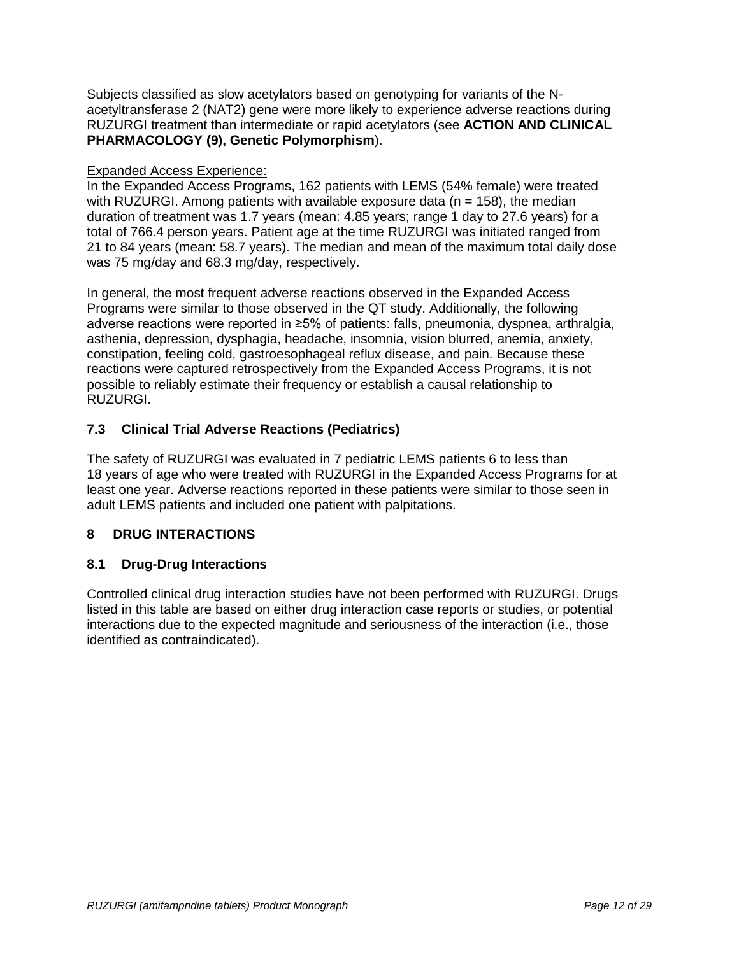Subjects classified as slow acetylators based on genotyping for variants of the Nacetyltransferase 2 (NAT2) gene were more likely to experience adverse reactions during RUZURGI treatment than intermediate or rapid acetylators (see **ACTION AND CLINICAL PHARMACOLOGY (9), Genetic Polymorphism**).

# Expanded Access Experience:

In the Expanded Access Programs, 162 patients with LEMS (54% female) were treated with RUZURGI. Among patients with available exposure data ( $n = 158$ ), the median duration of treatment was 1.7 years (mean: 4.85 years; range 1 day to 27.6 years) for a total of 766.4 person years. Patient age at the time RUZURGI was initiated ranged from 21 to 84 years (mean: 58.7 years). The median and mean of the maximum total daily dose was 75 mg/day and 68.3 mg/day, respectively.

In general, the most frequent adverse reactions observed in the Expanded Access Programs were similar to those observed in the QT study. Additionally, the following adverse reactions were reported in ≥5% of patients: falls, pneumonia, dyspnea, arthralgia, asthenia, depression, dysphagia, headache, insomnia, vision blurred, anemia, anxiety, constipation, feeling cold, gastroesophageal reflux disease, and pain. Because these reactions were captured retrospectively from the Expanded Access Programs, it is not possible to reliably estimate their frequency or establish a causal relationship to RUZURGI.

# <span id="page-11-0"></span>**7.3 Clinical Trial Adverse Reactions (Pediatrics)**

The safety of RUZURGI was evaluated in 7 pediatric LEMS patients 6 to less than 18 years of age who were treated with RUZURGI in the Expanded Access Programs for at least one year. Adverse reactions reported in these patients were similar to those seen in adult LEMS patients and included one patient with palpitations.

# <span id="page-11-1"></span>**8 DRUG INTERACTIONS**

# <span id="page-11-2"></span>**8.1 Drug-Drug Interactions**

Controlled clinical drug interaction studies have not been performed with RUZURGI. Drugs listed in this table are based on either drug interaction case reports or studies, or potential interactions due to the expected magnitude and seriousness of the interaction (i.e., those identified as contraindicated).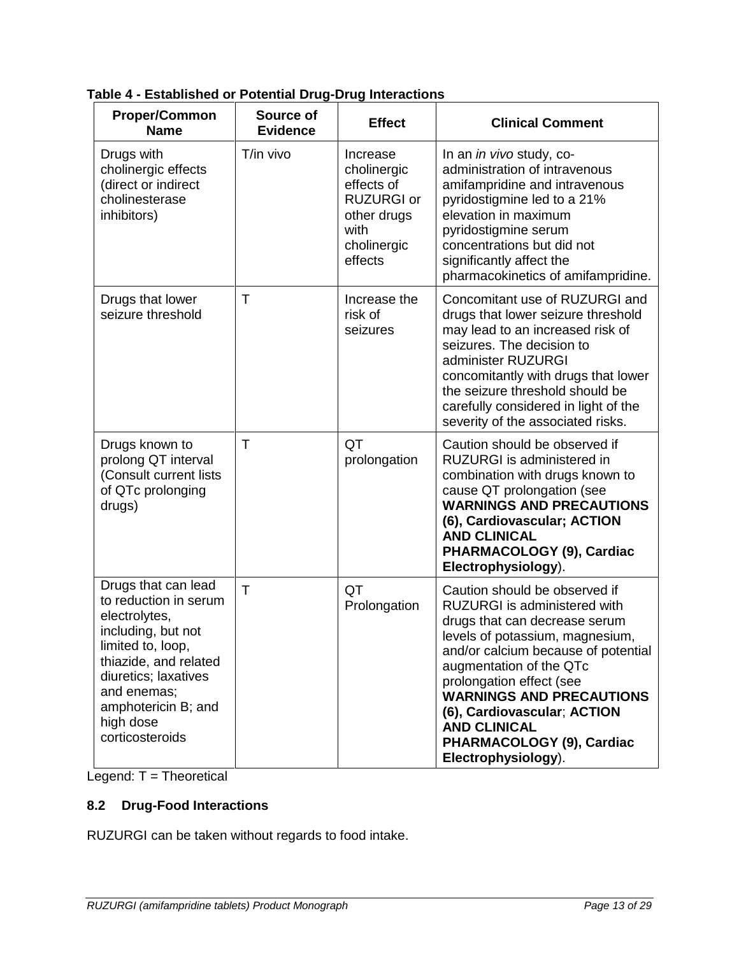| <b>Proper/Common</b><br><b>Name</b>                                                                                                                                                                                             | Source of<br><b>Evidence</b> | <b>Effect</b>                                                                                               | <b>Clinical Comment</b>                                                                                                                                                                                                                                                                                                                                                      |
|---------------------------------------------------------------------------------------------------------------------------------------------------------------------------------------------------------------------------------|------------------------------|-------------------------------------------------------------------------------------------------------------|------------------------------------------------------------------------------------------------------------------------------------------------------------------------------------------------------------------------------------------------------------------------------------------------------------------------------------------------------------------------------|
| Drugs with<br>cholinergic effects<br>(direct or indirect<br>cholinesterase<br>inhibitors)                                                                                                                                       | T/in vivo                    | Increase<br>cholinergic<br>effects of<br><b>RUZURGI or</b><br>other drugs<br>with<br>cholinergic<br>effects | In an in vivo study, co-<br>administration of intravenous<br>amifampridine and intravenous<br>pyridostigmine led to a 21%<br>elevation in maximum<br>pyridostigmine serum<br>concentrations but did not<br>significantly affect the<br>pharmacokinetics of amifampridine.                                                                                                    |
| Drugs that lower<br>seizure threshold                                                                                                                                                                                           | Τ                            | Increase the<br>risk of<br>seizures                                                                         | Concomitant use of RUZURGI and<br>drugs that lower seizure threshold<br>may lead to an increased risk of<br>seizures. The decision to<br>administer RUZURGI<br>concomitantly with drugs that lower<br>the seizure threshold should be<br>carefully considered in light of the<br>severity of the associated risks.                                                           |
| Drugs known to<br>prolong QT interval<br>(Consult current lists<br>of QTc prolonging<br>drugs)                                                                                                                                  | T                            | QT<br>prolongation                                                                                          | Caution should be observed if<br>RUZURGI is administered in<br>combination with drugs known to<br>cause QT prolongation (see<br><b>WARNINGS AND PRECAUTIONS</b><br>(6), Cardiovascular; ACTION<br><b>AND CLINICAL</b><br>PHARMACOLOGY (9), Cardiac<br>Electrophysiology).                                                                                                    |
| Drugs that can lead<br>to reduction in serum<br>electrolytes,<br>including, but not<br>limited to, loop,<br>thiazide, and related<br>diuretics; laxatives<br>and enemas;<br>amphotericin B; and<br>high dose<br>corticosteroids | $\mathsf{T}$                 | QT<br>Prolongation                                                                                          | Caution should be observed if<br>RUZURGI is administered with<br>drugs that can decrease serum<br>levels of potassium, magnesium,<br>and/or calcium because of potential<br>augmentation of the QTc<br>prolongation effect (see<br><b>WARNINGS AND PRECAUTIONS</b><br>(6), Cardiovascular; ACTION<br><b>AND CLINICAL</b><br>PHARMACOLOGY (9), Cardiac<br>Electrophysiology). |

**Table 4 - Established or Potential Drug-Drug Interactions**

 $Legend: T = Theoretical$ 

# <span id="page-12-0"></span>**8.2 Drug-Food Interactions**

RUZURGI can be taken without regards to food intake.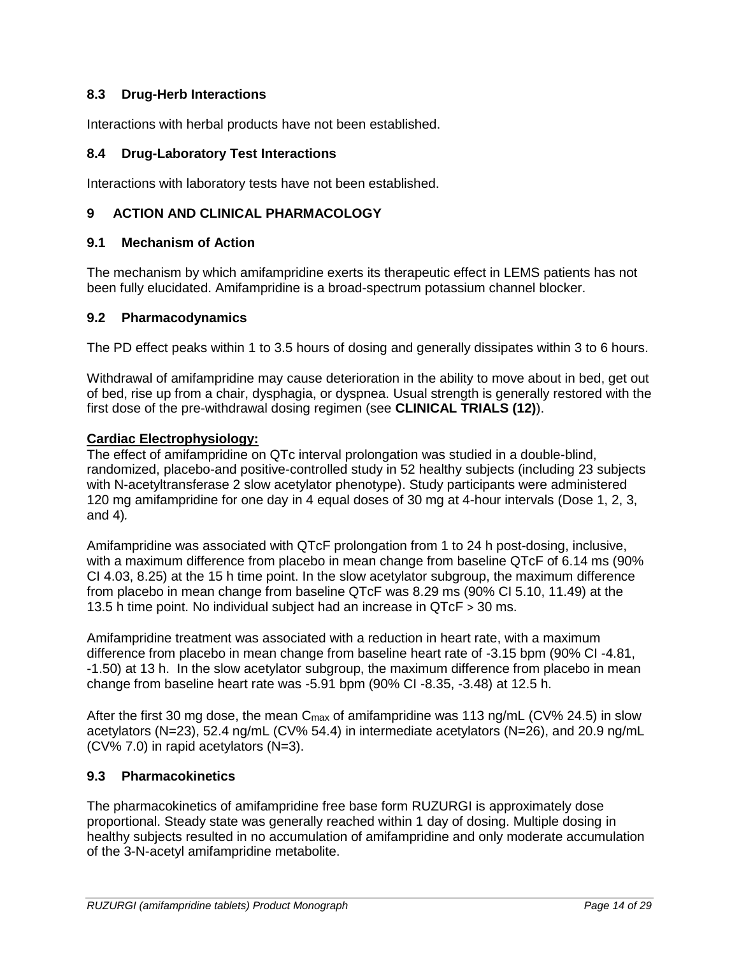# <span id="page-13-0"></span>**8.3 Drug-Herb Interactions**

Interactions with herbal products have not been established.

## <span id="page-13-1"></span>**8.4 Drug-Laboratory Test Interactions**

Interactions with laboratory tests have not been established.

## <span id="page-13-2"></span>**9 ACTION AND CLINICAL PHARMACOLOGY**

### <span id="page-13-3"></span>**9.1 Mechanism of Action**

The mechanism by which amifampridine exerts its therapeutic effect in LEMS patients has not been fully elucidated. Amifampridine is a broad-spectrum potassium channel blocker.

### <span id="page-13-4"></span>**9.2 Pharmacodynamics**

The PD effect peaks within 1 to 3.5 hours of dosing and generally dissipates within 3 to 6 hours.

Withdrawal of amifampridine may cause deterioration in the ability to move about in bed, get out of bed, rise up from a chair, dysphagia, or dyspnea. Usual strength is generally restored with the first dose of the pre-withdrawal dosing regimen (see **CLINICAL TRIALS (12)**).

### **Cardiac Electrophysiology:**

The effect of amifampridine on QTc interval prolongation was studied in a double-blind, randomized, placebo-and positive-controlled study in 52 healthy subjects (including 23 subjects with N-acetyltransferase 2 slow acetylator phenotype). Study participants were administered 120 mg amifampridine for one day in 4 equal doses of 30 mg at 4-hour intervals (Dose 1, 2, 3, and 4)*.*

Amifampridine was associated with QTcF prolongation from 1 to 24 h post-dosing, inclusive, with a maximum difference from placebo in mean change from baseline QTcF of 6.14 ms (90% CI 4.03, 8.25) at the 15 h time point. In the slow acetylator subgroup, the maximum difference from placebo in mean change from baseline QTcF was 8.29 ms (90% CI 5.10, 11.49) at the 13.5 h time point. No individual subject had an increase in QTcF > 30 ms.

Amifampridine treatment was associated with a reduction in heart rate, with a maximum difference from placebo in mean change from baseline heart rate of -3.15 bpm (90% CI -4.81, -1.50) at 13 h. In the slow acetylator subgroup, the maximum difference from placebo in mean change from baseline heart rate was -5.91 bpm (90% CI -8.35, -3.48) at 12.5 h.

After the first 30 mg dose, the mean  $C_{\text{max}}$  of amifampridine was 113 ng/mL (CV% 24.5) in slow acetylators (N=23), 52.4 ng/mL (CV% 54.4) in intermediate acetylators (N=26), and 20.9 ng/mL (CV% 7.0) in rapid acetylators (N=3).

### <span id="page-13-5"></span>**9.3 Pharmacokinetics**

The pharmacokinetics of amifampridine free base form RUZURGI is approximately dose proportional. Steady state was generally reached within 1 day of dosing. Multiple dosing in healthy subjects resulted in no accumulation of amifampridine and only moderate accumulation of the 3-N-acetyl amifampridine metabolite.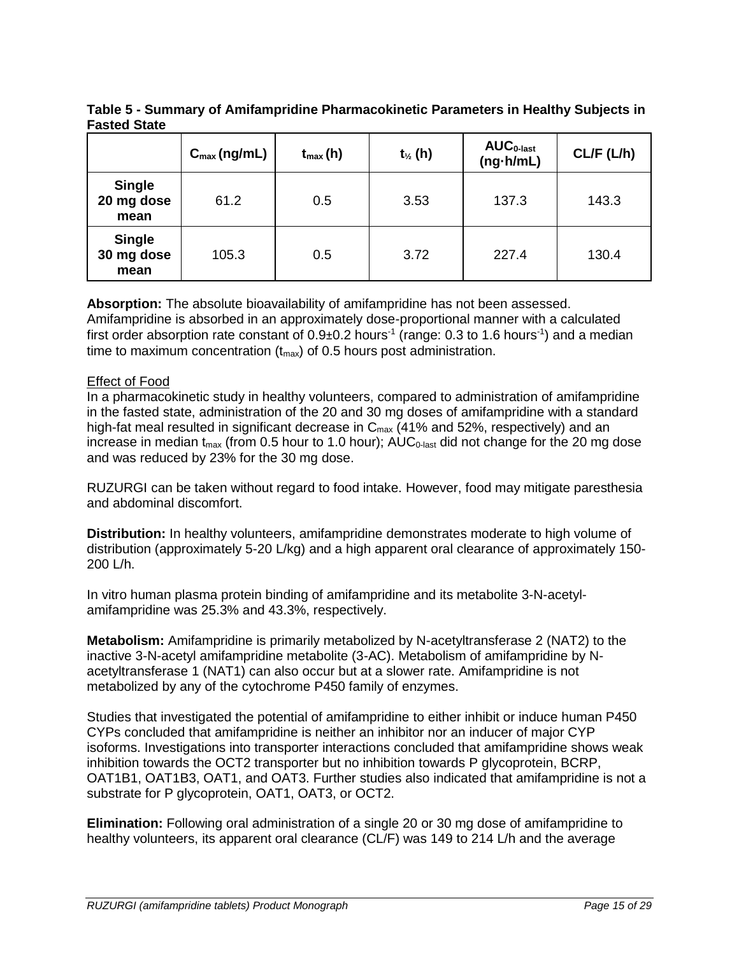|                                     | $C_{\text{max}}$ (ng/mL) | $t_{max}(h)$ | $t_{\frac{1}{2}}(h)$ | $AUC0-last$<br>$(ng \cdot h/mL)$ | CL/F (L/h) |
|-------------------------------------|--------------------------|--------------|----------------------|----------------------------------|------------|
| <b>Single</b><br>20 mg dose<br>mean | 61.2                     | 0.5          | 3.53                 | 137.3                            | 143.3      |
| <b>Single</b><br>30 mg dose<br>mean | 105.3                    | 0.5          | 3.72                 | 227.4                            | 130.4      |

**Table 5 - Summary of Amifampridine Pharmacokinetic Parameters in Healthy Subjects in Fasted State**

**Absorption:** The absolute bioavailability of amifampridine has not been assessed. Amifampridine is absorbed in an approximately dose-proportional manner with a calculated first order absorption rate constant of 0.9±0.2 hours<sup>-1</sup> (range: 0.3 to 1.6 hours<sup>-1</sup>) and a median time to maximum concentration  $(t_{max})$  of 0.5 hours post administration.

### Effect of Food

In a pharmacokinetic study in healthy volunteers, compared to administration of amifampridine in the fasted state, administration of the 20 and 30 mg doses of amifampridine with a standard high-fat meal resulted in significant decrease in  $C_{\text{max}}$  (41% and 52%, respectively) and an increase in median  $t_{max}$  (from 0.5 hour to 1.0 hour);  $AUC_{0-last}$  did not change for the 20 mg dose and was reduced by 23% for the 30 mg dose.

RUZURGI can be taken without regard to food intake. However, food may mitigate paresthesia and abdominal discomfort.

**Distribution:** In healthy volunteers, amifampridine demonstrates moderate to high volume of distribution (approximately 5-20 L/kg) and a high apparent oral clearance of approximately 150- 200 L/h.

In vitro human plasma protein binding of amifampridine and its metabolite 3-N-acetylamifampridine was 25.3% and 43.3%, respectively.

**Metabolism:** Amifampridine is primarily metabolized by N-acetyltransferase 2 (NAT2) to the inactive 3-N-acetyl amifampridine metabolite (3-AC). Metabolism of amifampridine by Nacetyltransferase 1 (NAT1) can also occur but at a slower rate. Amifampridine is not metabolized by any of the cytochrome P450 family of enzymes.

Studies that investigated the potential of amifampridine to either inhibit or induce human P450 CYPs concluded that amifampridine is neither an inhibitor nor an inducer of major CYP isoforms. Investigations into transporter interactions concluded that amifampridine shows weak inhibition towards the OCT2 transporter but no inhibition towards P glycoprotein, BCRP, OAT1B1, OAT1B3, OAT1, and OAT3. Further studies also indicated that amifampridine is not a substrate for P glycoprotein, OAT1, OAT3, or OCT2.

**Elimination:** Following oral administration of a single 20 or 30 mg dose of amifampridine to healthy volunteers, its apparent oral clearance (CL/F) was 149 to 214 L/h and the average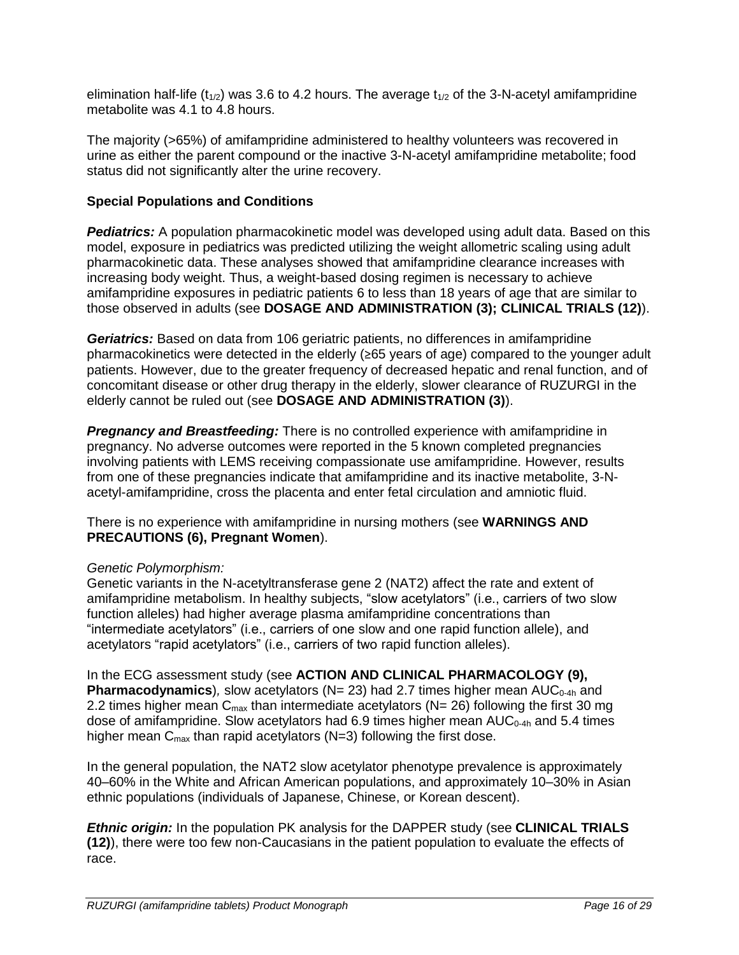elimination half-life ( $t_{1/2}$ ) was 3.6 to 4.2 hours. The average  $t_{1/2}$  of the 3-N-acetyl amifampridine metabolite was 4.1 to 4.8 hours.

The majority (>65%) of amifampridine administered to healthy volunteers was recovered in urine as either the parent compound or the inactive 3-N-acetyl amifampridine metabolite; food status did not significantly alter the urine recovery.

## **Special Populations and Conditions**

*Pediatrics:* A population pharmacokinetic model was developed using adult data. Based on this model, exposure in pediatrics was predicted utilizing the weight allometric scaling using adult pharmacokinetic data. These analyses showed that amifampridine clearance increases with increasing body weight. Thus, a weight-based dosing regimen is necessary to achieve amifampridine exposures in pediatric patients 6 to less than 18 years of age that are similar to those observed in adults (see **DOSAGE AND ADMINISTRATION (3); CLINICAL TRIALS (12)**).

*Geriatrics:* Based on data from 106 geriatric patients, no differences in amifampridine pharmacokinetics were detected in the elderly (≥65 years of age) compared to the younger adult patients. However, due to the greater frequency of decreased hepatic and renal function, and of concomitant disease or other drug therapy in the elderly, slower clearance of RUZURGI in the elderly cannot be ruled out (see **DOSAGE AND ADMINISTRATION (3)**).

*Pregnancy and Breastfeeding:* There is no controlled experience with amifampridine in pregnancy. No adverse outcomes were reported in the 5 known completed pregnancies involving patients with LEMS receiving compassionate use amifampridine. However, results from one of these pregnancies indicate that amifampridine and its inactive metabolite, 3-Nacetyl-amifampridine, cross the placenta and enter fetal circulation and amniotic fluid.

There is no experience with amifampridine in nursing mothers (see **WARNINGS AND PRECAUTIONS (6), Pregnant Women**).

### *Genetic Polymorphism:*

Genetic variants in the N-acetyltransferase gene 2 (NAT2) affect the rate and extent of amifampridine metabolism. In healthy subjects, "slow acetylators" (i.e., carriers of two slow function alleles) had higher average plasma amifampridine concentrations than "intermediate acetylators" (i.e., carriers of one slow and one rapid function allele), and acetylators "rapid acetylators" (i.e., carriers of two rapid function alleles).

In the ECG assessment study (see **ACTION AND CLINICAL PHARMACOLOGY (9), Pharmacodynamics**), slow acetylators (N= 23) had 2.7 times higher mean AUC<sub>0-4h</sub> and 2.2 times higher mean  $C_{\text{max}}$  than intermediate acetylators (N= 26) following the first 30 mg dose of amifampridine. Slow acetylators had 6.9 times higher mean  $AUC_{0-4h}$  and 5.4 times higher mean  $C_{\text{max}}$  than rapid acetylators (N=3) following the first dose.

In the general population, the NAT2 slow acetylator phenotype prevalence is approximately 40–60% in the White and African American populations, and approximately 10–30% in Asian ethnic populations (individuals of Japanese, Chinese, or Korean descent).

*Ethnic origin:* In the population PK analysis for the DAPPER study (see **CLINICAL TRIALS (12)**), there were too few non-Caucasians in the patient population to evaluate the effects of race.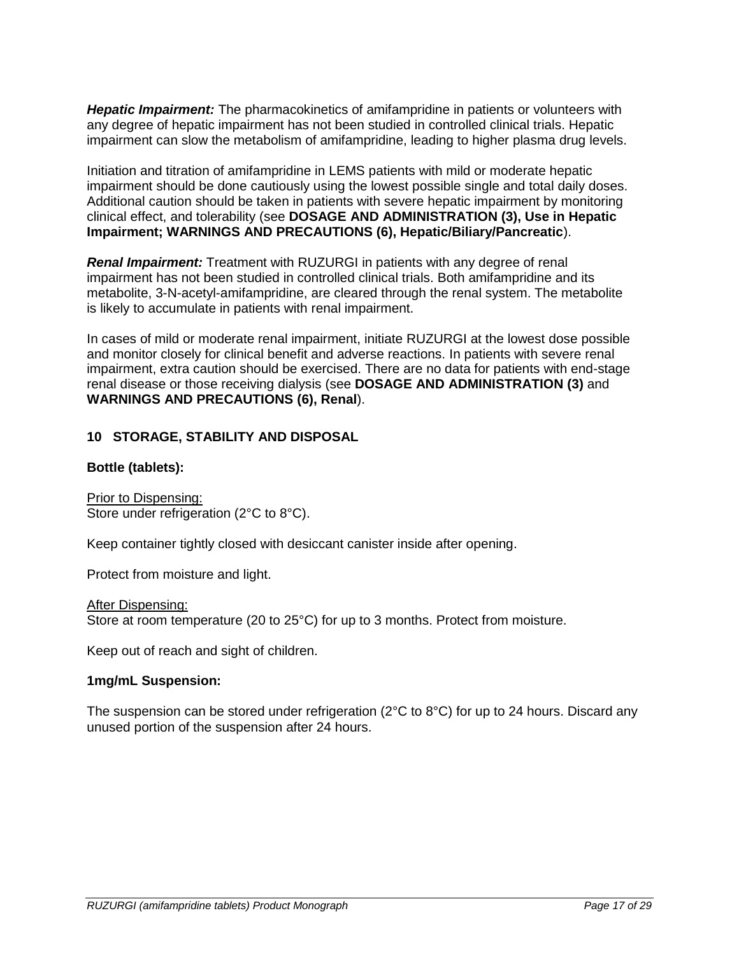*Hepatic Impairment:* The pharmacokinetics of amifampridine in patients or volunteers with any degree of hepatic impairment has not been studied in controlled clinical trials. Hepatic impairment can slow the metabolism of amifampridine, leading to higher plasma drug levels.

Initiation and titration of amifampridine in LEMS patients with mild or moderate hepatic impairment should be done cautiously using the lowest possible single and total daily doses. Additional caution should be taken in patients with severe hepatic impairment by monitoring clinical effect, and tolerability (see **DOSAGE AND ADMINISTRATION (3), Use in Hepatic Impairment; WARNINGS AND PRECAUTIONS (6), Hepatic/Biliary/Pancreatic**).

*Renal Impairment:* Treatment with RUZURGI in patients with any degree of renal impairment has not been studied in controlled clinical trials. Both amifampridine and its metabolite, 3-N-acetyl-amifampridine, are cleared through the renal system. The metabolite is likely to accumulate in patients with renal impairment.

In cases of mild or moderate renal impairment, initiate RUZURGI at the lowest dose possible and monitor closely for clinical benefit and adverse reactions. In patients with severe renal impairment, extra caution should be exercised. There are no data for patients with end-stage renal disease or those receiving dialysis (see **DOSAGE AND ADMINISTRATION (3)** and **WARNINGS AND PRECAUTIONS (6), Renal**).

### <span id="page-16-0"></span>**10 STORAGE, STABILITY AND DISPOSAL**

### **Bottle (tablets):**

Prior to Dispensing: Store under refrigeration (2°C to 8°C).

Keep container tightly closed with desiccant canister inside after opening.

Protect from moisture and light.

After Dispensing: Store at room temperature (20 to 25°C) for up to 3 months. Protect from moisture.

Keep out of reach and sight of children.

#### **1mg/mL Suspension:**

The suspension can be stored under refrigeration ( $2^{\circ}$ C to  $8^{\circ}$ C) for up to 24 hours. Discard any unused portion of the suspension after 24 hours.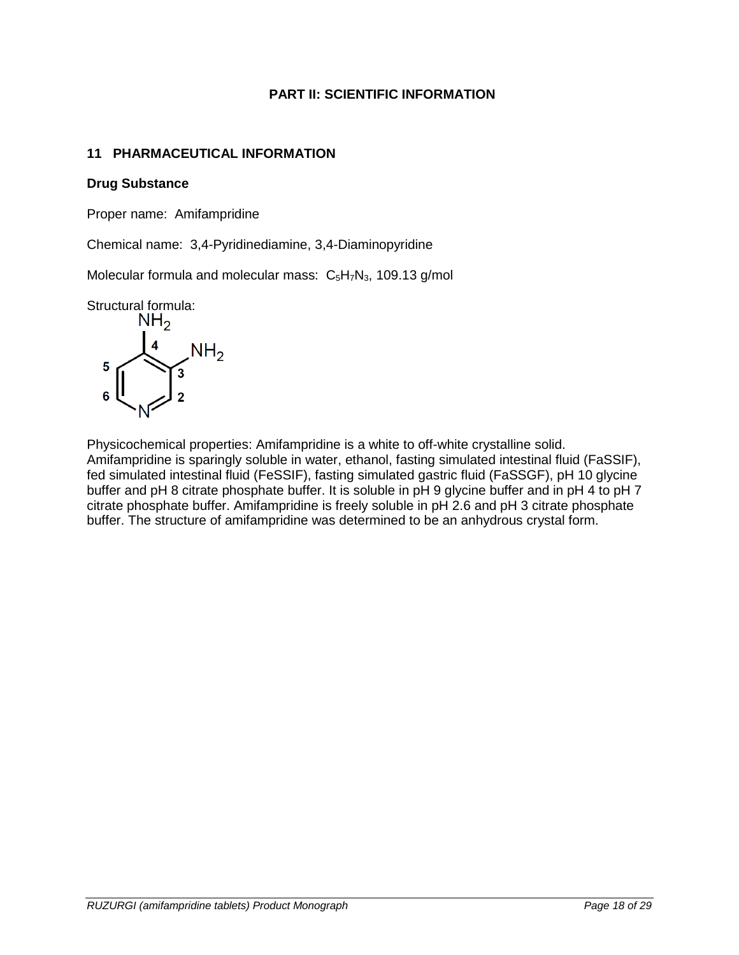## **PART II: SCIENTIFIC INFORMATION**

## <span id="page-17-1"></span><span id="page-17-0"></span>**11 PHARMACEUTICAL INFORMATION**

### **Drug Substance**

Proper name: Amifampridine

Chemical name: 3,4-Pyridinediamine, 3,4-Diaminopyridine

Molecular formula and molecular mass:  $C_5H_7N_3$ , 109.13 g/mol

Structural formula:<br> $NH<sub>2</sub>$ 



Physicochemical properties: Amifampridine is a white to off-white crystalline solid. Amifampridine is sparingly soluble in water, ethanol, fasting simulated intestinal fluid (FaSSIF), fed simulated intestinal fluid (FeSSIF), fasting simulated gastric fluid (FaSSGF), pH 10 glycine buffer and pH 8 citrate phosphate buffer. It is soluble in pH 9 glycine buffer and in pH 4 to pH 7 citrate phosphate buffer. Amifampridine is freely soluble in pH 2.6 and pH 3 citrate phosphate buffer. The structure of amifampridine was determined to be an anhydrous crystal form.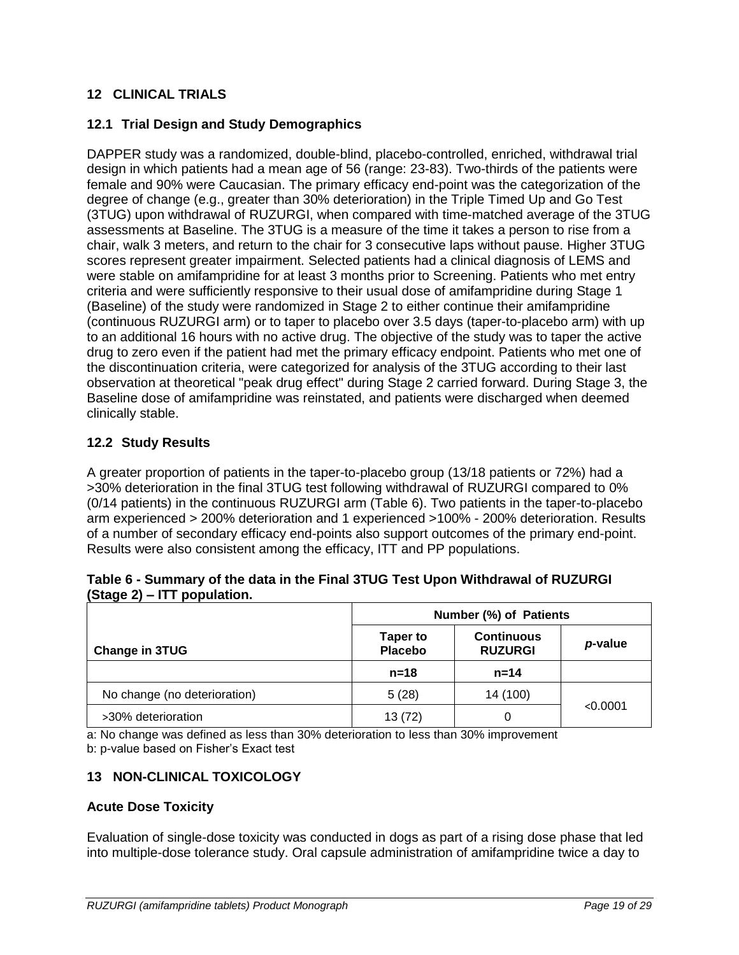## <span id="page-18-0"></span>**12 CLINICAL TRIALS**

## <span id="page-18-1"></span>**12.1 Trial Design and Study Demographics**

DAPPER study was a randomized, double-blind, placebo-controlled, enriched, withdrawal trial design in which patients had a mean age of 56 (range: 23-83). Two-thirds of the patients were female and 90% were Caucasian. The primary efficacy end-point was the categorization of the degree of change (e.g., greater than 30% deterioration) in the Triple Timed Up and Go Test (3TUG) upon withdrawal of RUZURGI, when compared with time-matched average of the 3TUG assessments at Baseline. The 3TUG is a measure of the time it takes a person to rise from a chair, walk 3 meters, and return to the chair for 3 consecutive laps without pause. Higher 3TUG scores represent greater impairment. Selected patients had a clinical diagnosis of LEMS and were stable on amifampridine for at least 3 months prior to Screening. Patients who met entry criteria and were sufficiently responsive to their usual dose of amifampridine during Stage 1 (Baseline) of the study were randomized in Stage 2 to either continue their amifampridine (continuous RUZURGI arm) or to taper to placebo over 3.5 days (taper-to-placebo arm) with up to an additional 16 hours with no active drug. The objective of the study was to taper the active drug to zero even if the patient had met the primary efficacy endpoint. Patients who met one of the discontinuation criteria, were categorized for analysis of the 3TUG according to their last observation at theoretical "peak drug effect" during Stage 2 carried forward. During Stage 3, the Baseline dose of amifampridine was reinstated, and patients were discharged when deemed clinically stable.

## <span id="page-18-2"></span>**12.2 Study Results**

A greater proportion of patients in the taper-to-placebo group (13/18 patients or 72%) had a >30% deterioration in the final 3TUG test following withdrawal of RUZURGI compared to 0% (0/14 patients) in the continuous RUZURGI arm (Table 6). Two patients in the taper-to-placebo arm experienced > 200% deterioration and 1 experienced >100% - 200% deterioration. Results of a number of secondary efficacy end-points also support outcomes of the primary end-point. Results were also consistent among the efficacy, ITT and PP populations.

|                              | Number (%) of Patients     |                                     |          |
|------------------------------|----------------------------|-------------------------------------|----------|
| Change in 3TUG               | Taper to<br><b>Placebo</b> | <b>Continuous</b><br><b>RUZURGI</b> | p-value  |
|                              | n=18                       | $n = 14$                            |          |
| No change (no deterioration) | 5(28)                      | 14 (100)                            |          |
| >30% deterioration           | 13(72)                     |                                     | < 0.0001 |

#### **Table 6 - Summary of the data in the Final 3TUG Test Upon Withdrawal of RUZURGI (Stage 2) – ITT population.**

a: No change was defined as less than 30% deterioration to less than 30% improvement b: p-value based on Fisher's Exact test

# <span id="page-18-3"></span>**13 NON-CLINICAL TOXICOLOGY**

### **Acute Dose Toxicity**

Evaluation of single-dose toxicity was conducted in dogs as part of a rising dose phase that led into multiple-dose tolerance study. Oral capsule administration of amifampridine twice a day to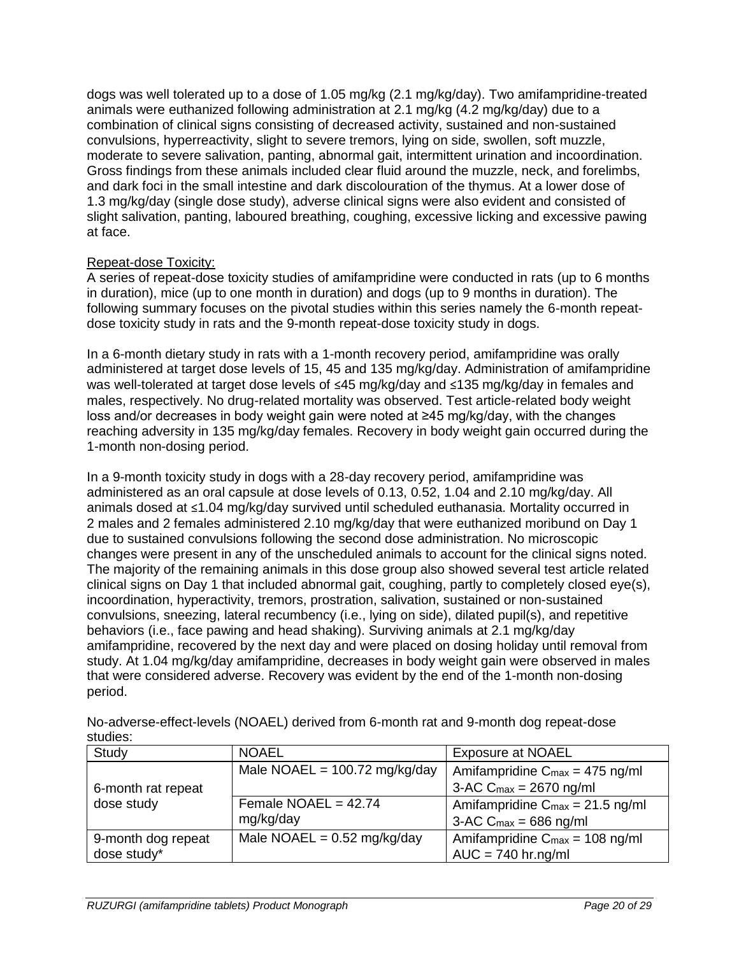dogs was well tolerated up to a dose of 1.05 mg/kg (2.1 mg/kg/day). Two amifampridine-treated animals were euthanized following administration at 2.1 mg/kg (4.2 mg/kg/day) due to a combination of clinical signs consisting of decreased activity, sustained and non-sustained convulsions, hyperreactivity, slight to severe tremors, lying on side, swollen, soft muzzle, moderate to severe salivation, panting, abnormal gait, intermittent urination and incoordination. Gross findings from these animals included clear fluid around the muzzle, neck, and forelimbs, and dark foci in the small intestine and dark discolouration of the thymus. At a lower dose of 1.3 mg/kg/day (single dose study), adverse clinical signs were also evident and consisted of slight salivation, panting, laboured breathing, coughing, excessive licking and excessive pawing at face.

### Repeat-dose Toxicity:

A series of repeat-dose toxicity studies of amifampridine were conducted in rats (up to 6 months in duration), mice (up to one month in duration) and dogs (up to 9 months in duration). The following summary focuses on the pivotal studies within this series namely the 6-month repeatdose toxicity study in rats and the 9-month repeat-dose toxicity study in dogs.

In a 6-month dietary study in rats with a 1-month recovery period, amifampridine was orally administered at target dose levels of 15, 45 and 135 mg/kg/day. Administration of amifampridine was well-tolerated at target dose levels of ≤45 mg/kg/day and ≤135 mg/kg/day in females and males, respectively. No drug-related mortality was observed. Test article-related body weight loss and/or decreases in body weight gain were noted at ≥45 mg/kg/day, with the changes reaching adversity in 135 mg/kg/day females. Recovery in body weight gain occurred during the 1-month non-dosing period.

In a 9-month toxicity study in dogs with a 28-day recovery period, amifampridine was administered as an oral capsule at dose levels of 0.13, 0.52, 1.04 and 2.10 mg/kg/day. All animals dosed at ≤1.04 mg/kg/day survived until scheduled euthanasia. Mortality occurred in 2 males and 2 females administered 2.10 mg/kg/day that were euthanized moribund on Day 1 due to sustained convulsions following the second dose administration. No microscopic changes were present in any of the unscheduled animals to account for the clinical signs noted. The majority of the remaining animals in this dose group also showed several test article related clinical signs on Day 1 that included abnormal gait, coughing, partly to completely closed eye(s), incoordination, hyperactivity, tremors, prostration, salivation, sustained or non-sustained convulsions, sneezing, lateral recumbency (i.e., lying on side), dilated pupil(s), and repetitive behaviors (i.e., face pawing and head shaking). Surviving animals at 2.1 mg/kg/day amifampridine, recovered by the next day and were placed on dosing holiday until removal from study. At 1.04 mg/kg/day amifampridine, decreases in body weight gain were observed in males that were considered adverse. Recovery was evident by the end of the 1-month non-dosing period.

| studies.           |                                 |                                            |  |
|--------------------|---------------------------------|--------------------------------------------|--|
| Study              | <b>NOAEL</b>                    | <b>Exposure at NOAEL</b>                   |  |
|                    | Male NOAEL = $100.72$ mg/kg/day | Amifampridine $C_{max} = 475$ ng/ml        |  |
| 6-month rat repeat |                                 | 3-AC $C_{\text{max}} = 2670$ ng/ml         |  |
| dose study         | Female NOAEL = $42.74$          | Amifampridine $C_{max} = 21.5$ ng/ml       |  |
|                    | mg/kg/day                       | 3-AC $C_{\text{max}} = 686$ ng/ml          |  |
| 9-month dog repeat | Male NOAEL = $0.52$ mg/kg/day   | Amifampridine $C_{\text{max}} = 108$ ng/ml |  |
| dose study*        |                                 | $AUC = 740$ hr.ng/ml                       |  |

No-adverse-effect-levels (NOAEL) derived from 6-month rat and 9-month dog repeat-dose studies: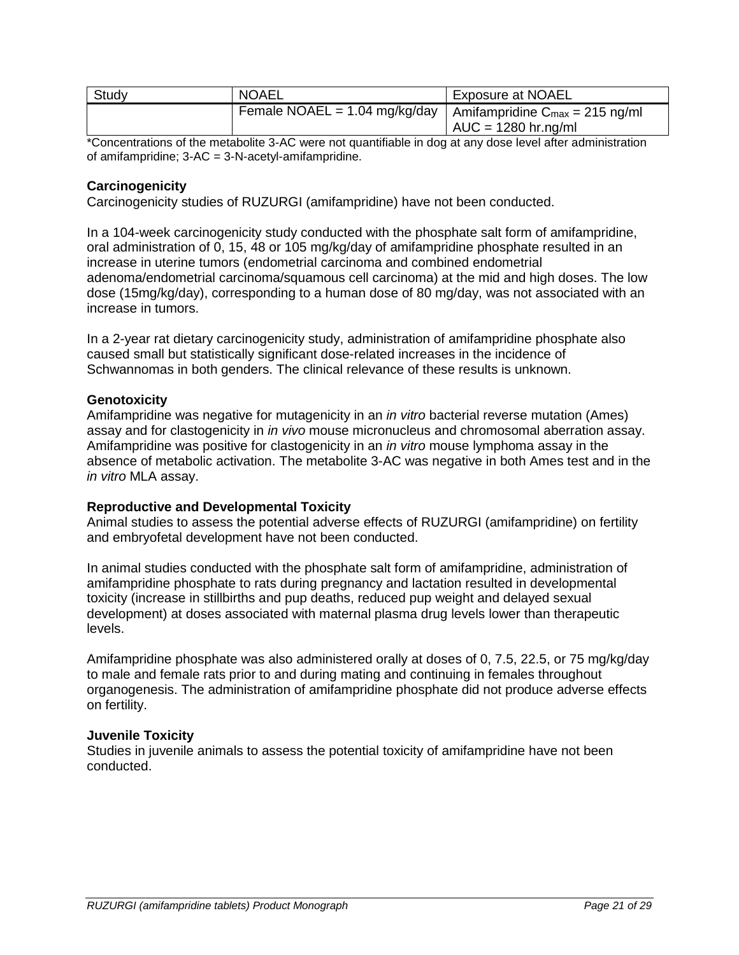| Study | <b>NOAEL</b>                                                                       | <b>Exposure at NOAEL</b> |
|-------|------------------------------------------------------------------------------------|--------------------------|
|       | Female NOAEL = 1.04 mg/kg/day   Amifampridine $C_{\text{max}} = 215 \text{ ng/ml}$ |                          |
|       |                                                                                    | $AUC = 1280$ hr.ng/ml    |

\*Concentrations of the metabolite 3-AC were not quantifiable in dog at any dose level after administration of amifampridine;  $3-AC = 3-N$ -acetyl-amifampridine.

## **Carcinogenicity**

Carcinogenicity studies of RUZURGI (amifampridine) have not been conducted.

In a 104-week carcinogenicity study conducted with the phosphate salt form of amifampridine, oral administration of 0, 15, 48 or 105 mg/kg/day of amifampridine phosphate resulted in an increase in uterine tumors (endometrial carcinoma and combined endometrial adenoma/endometrial carcinoma/squamous cell carcinoma) at the mid and high doses. The low dose (15mg/kg/day), corresponding to a human dose of 80 mg/day, was not associated with an increase in tumors.

In a 2-year rat dietary carcinogenicity study, administration of amifampridine phosphate also caused small but statistically significant dose-related increases in the incidence of Schwannomas in both genders. The clinical relevance of these results is unknown.

#### **Genotoxicity**

Amifampridine was negative for mutagenicity in an *in vitro* bacterial reverse mutation (Ames) assay and for clastogenicity in *in vivo* mouse micronucleus and chromosomal aberration assay. Amifampridine was positive for clastogenicity in an *in vitro* mouse lymphoma assay in the absence of metabolic activation. The metabolite 3-AC was negative in both Ames test and in the *in vitro* MLA assay.

### **Reproductive and Developmental Toxicity**

Animal studies to assess the potential adverse effects of RUZURGI (amifampridine) on fertility and embryofetal development have not been conducted.

In animal studies conducted with the phosphate salt form of amifampridine, administration of amifampridine phosphate to rats during pregnancy and lactation resulted in developmental toxicity (increase in stillbirths and pup deaths, reduced pup weight and delayed sexual development) at doses associated with maternal plasma drug levels lower than therapeutic levels.

Amifampridine phosphate was also administered orally at doses of 0, 7.5, 22.5, or 75 mg/kg/day to male and female rats prior to and during mating and continuing in females throughout organogenesis. The administration of amifampridine phosphate did not produce adverse effects on fertility.

#### **Juvenile Toxicity**

Studies in juvenile animals to assess the potential toxicity of amifampridine have not been conducted.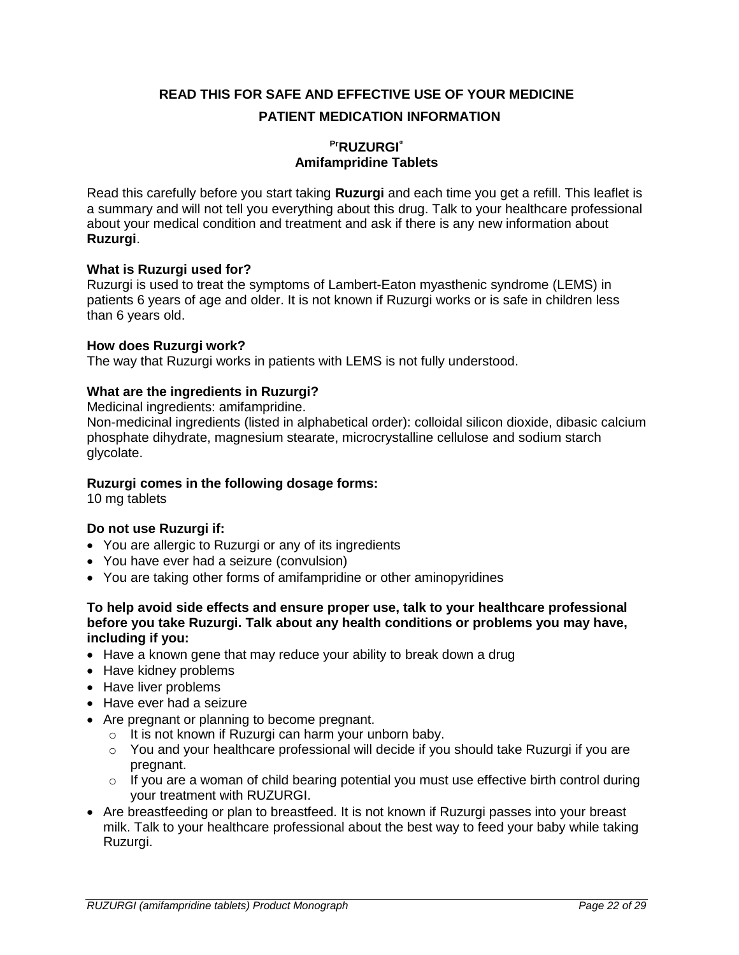<span id="page-21-0"></span>**READ THIS FOR SAFE AND EFFECTIVE USE OF YOUR MEDICINE PATIENT MEDICATION INFORMATION**

## **PrRUZURGI® Amifampridine Tablets**

Read this carefully before you start taking **Ruzurgi** and each time you get a refill. This leaflet is a summary and will not tell you everything about this drug. Talk to your healthcare professional about your medical condition and treatment and ask if there is any new information about **Ruzurgi**.

### **What is Ruzurgi used for?**

Ruzurgi is used to treat the symptoms of Lambert-Eaton myasthenic syndrome (LEMS) in patients 6 years of age and older. It is not known if Ruzurgi works or is safe in children less than 6 years old.

### **How does Ruzurgi work?**

The way that Ruzurgi works in patients with LEMS is not fully understood.

## **What are the ingredients in Ruzurgi?**

Medicinal ingredients: amifampridine.

Non-medicinal ingredients (listed in alphabetical order): colloidal silicon dioxide, dibasic calcium phosphate dihydrate, magnesium stearate, microcrystalline cellulose and sodium starch glycolate.

### **Ruzurgi comes in the following dosage forms:**

10 mg tablets

# **Do not use Ruzurgi if:**

- You are allergic to Ruzurgi or any of its ingredients
- You have ever had a seizure (convulsion)
- You are taking other forms of amifampridine or other aminopyridines

#### **To help avoid side effects and ensure proper use, talk to your healthcare professional before you take Ruzurgi. Talk about any health conditions or problems you may have, including if you:**

- Have a known gene that may reduce your ability to break down a drug
- Have kidney problems
- Have liver problems
- Have ever had a seizure
- Are pregnant or planning to become pregnant.
	- o It is not known if Ruzurgi can harm your unborn baby.
	- o You and your healthcare professional will decide if you should take Ruzurgi if you are pregnant.
	- o If you are a woman of child bearing potential you must use effective birth control during your treatment with RUZURGI.
- Are breastfeeding or plan to breastfeed. It is not known if Ruzurgi passes into your breast milk. Talk to your healthcare professional about the best way to feed your baby while taking Ruzurgi.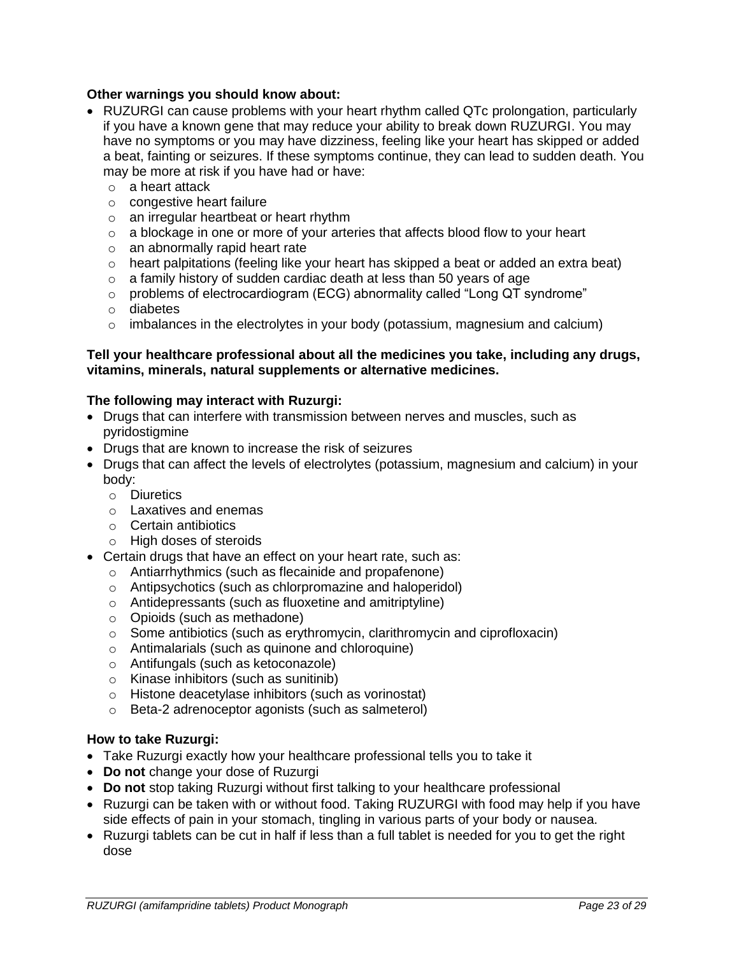#### **Other warnings you should know about:**

- RUZURGI can cause problems with your heart rhythm called QTc prolongation, particularly if you have a known gene that may reduce your ability to break down RUZURGI. You may have no symptoms or you may have dizziness, feeling like your heart has skipped or added a beat, fainting or seizures. If these symptoms continue, they can lead to sudden death. You may be more at risk if you have had or have:
	- o a heart attack
	- o congestive heart failure
	- o an irregular heartbeat or heart rhythm
	- o a blockage in one or more of your arteries that affects blood flow to your heart
	- $\circ$  an abnormally rapid heart rate
	- $\circ$  heart palpitations (feeling like your heart has skipped a beat or added an extra beat)
	- $\circ$  a family history of sudden cardiac death at less than 50 years of age
	- $\circ$  problems of electrocardiogram (ECG) abnormality called "Long QT syndrome"
	- o diabetes
	- $\circ$  imbalances in the electrolytes in your body (potassium, magnesium and calcium)

#### **Tell your healthcare professional about all the medicines you take, including any drugs, vitamins, minerals, natural supplements or alternative medicines.**

#### **The following may interact with Ruzurgi:**

- Drugs that can interfere with transmission between nerves and muscles, such as pyridostigmine
- Drugs that are known to increase the risk of seizures
- Drugs that can affect the levels of electrolytes (potassium, magnesium and calcium) in your body:
	- o Diuretics
	- o Laxatives and enemas
	- o Certain antibiotics
	- o High doses of steroids
- Certain drugs that have an effect on your heart rate, such as:
	- o Antiarrhythmics (such as flecainide and propafenone)
	- o Antipsychotics (such as chlorpromazine and haloperidol)
	- o Antidepressants (such as fluoxetine and amitriptyline)
	- o Opioids (such as methadone)
	- o Some antibiotics (such as erythromycin, clarithromycin and ciprofloxacin)
	- o Antimalarials (such as quinone and chloroquine)
	- o Antifungals (such as ketoconazole)
	- o Kinase inhibitors (such as sunitinib)
	- o Histone deacetylase inhibitors (such as vorinostat)
	- o Beta-2 adrenoceptor agonists (such as salmeterol)

#### **How to take Ruzurgi:**

- Take Ruzurgi exactly how your healthcare professional tells you to take it
- **Do not** change your dose of Ruzurgi
- **Do not** stop taking Ruzurgi without first talking to your healthcare professional
- Ruzurgi can be taken with or without food. Taking RUZURGI with food may help if you have side effects of pain in your stomach, tingling in various parts of your body or nausea.
- Ruzurgi tablets can be cut in half if less than a full tablet is needed for you to get the right dose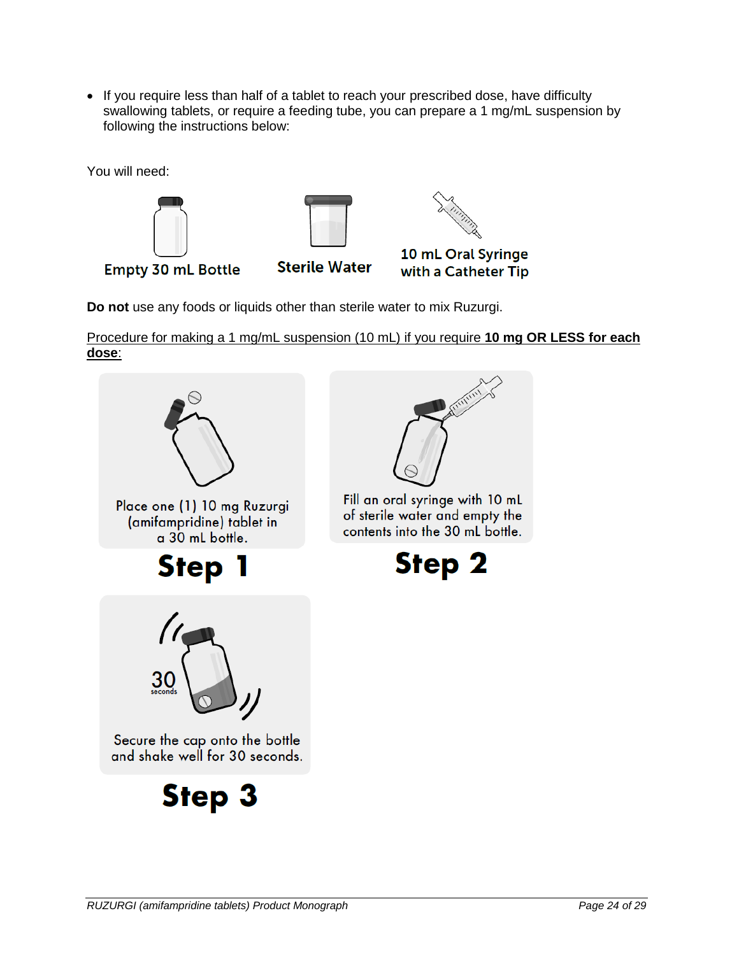• If you require less than half of a tablet to reach your prescribed dose, have difficulty swallowing tablets, or require a feeding tube, you can prepare a 1 mg/mL suspension by following the instructions below:

You will need:



**Do not** use any foods or liquids other than sterile water to mix Ruzurgi.

Procedure for making a 1 mg/mL suspension (10 mL) if you require **10 mg OR LESS for each dose**:

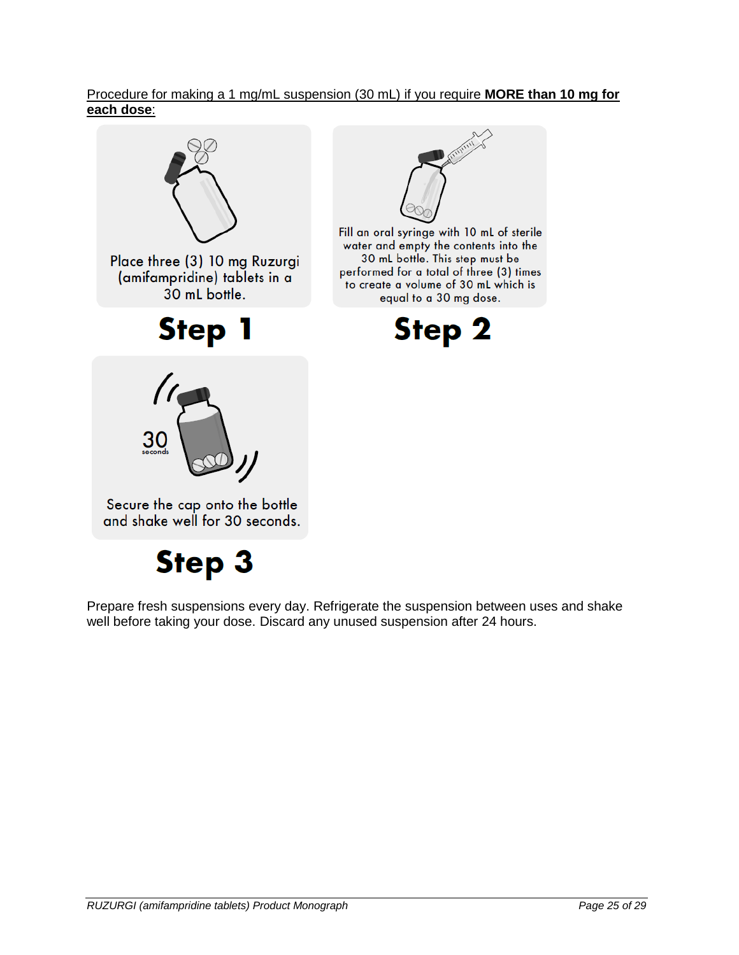## Procedure for making a 1 mg/mL suspension (30 mL) if you require **MORE than 10 mg for each dose**:



Prepare fresh suspensions every day. Refrigerate the suspension between uses and shake well before taking your dose. Discard any unused suspension after 24 hours.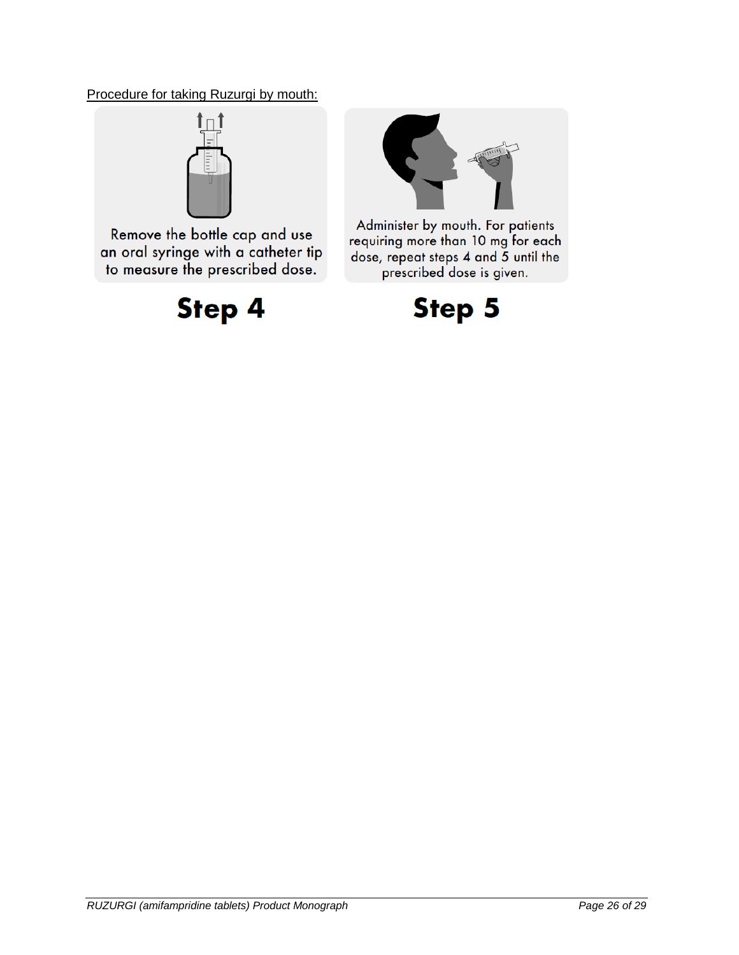Procedure for taking Ruzurgi by mouth:



Remove the bottle cap and use an oral syringe with a catheter tip to measure the prescribed dose.

**Step 4** 



Administer by mouth. For patients requiring more than 10 mg for each dose, repeat steps 4 and 5 until the prescribed dose is given.

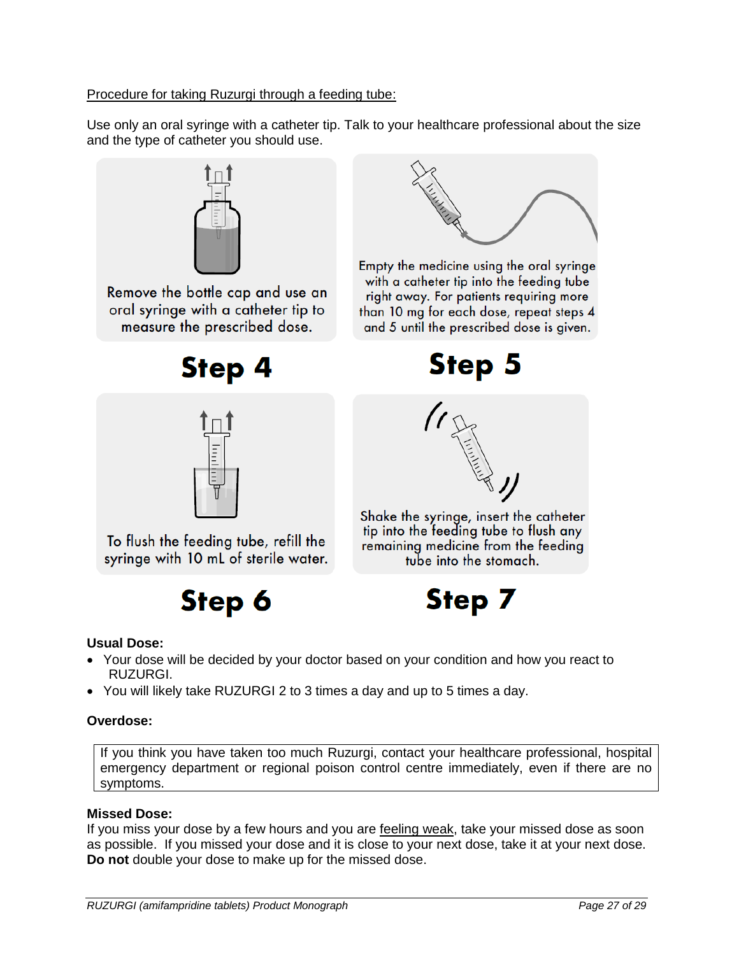Procedure for taking Ruzurgi through a feeding tube:

Use only an oral syringe with a catheter tip. Talk to your healthcare professional about the size and the type of catheter you should use.



Remove the bottle cap and use an oral syringe with a catheter tip to measure the prescribed dose.





Empty the medicine using the oral syringe with a catheter tip into the feeding tube right away. For patients requiring more than 10 mg for each dose, repeat steps 4 and 5 until the prescribed dose is given.

**Step 5** 



To flush the feeding tube, refill the syringe with 10 mL of sterile water.

# **Step 6**



Shake the syringe, insert the catheter tip into the feeding tube to flush any remaining medicine from the feeding tube into the stomach.



### **Usual Dose:**

- Your dose will be decided by your doctor based on your condition and how you react to RUZURGI.
- You will likely take RUZURGI 2 to 3 times a day and up to 5 times a day.

### **Overdose:**

If you think you have taken too much Ruzurgi, contact your healthcare professional, hospital emergency department or regional poison control centre immediately, even if there are no symptoms.

# **Missed Dose:**

If you miss your dose by a few hours and you are feeling weak, take your missed dose as soon as possible. If you missed your dose and it is close to your next dose, take it at your next dose. **Do not** double your dose to make up for the missed dose.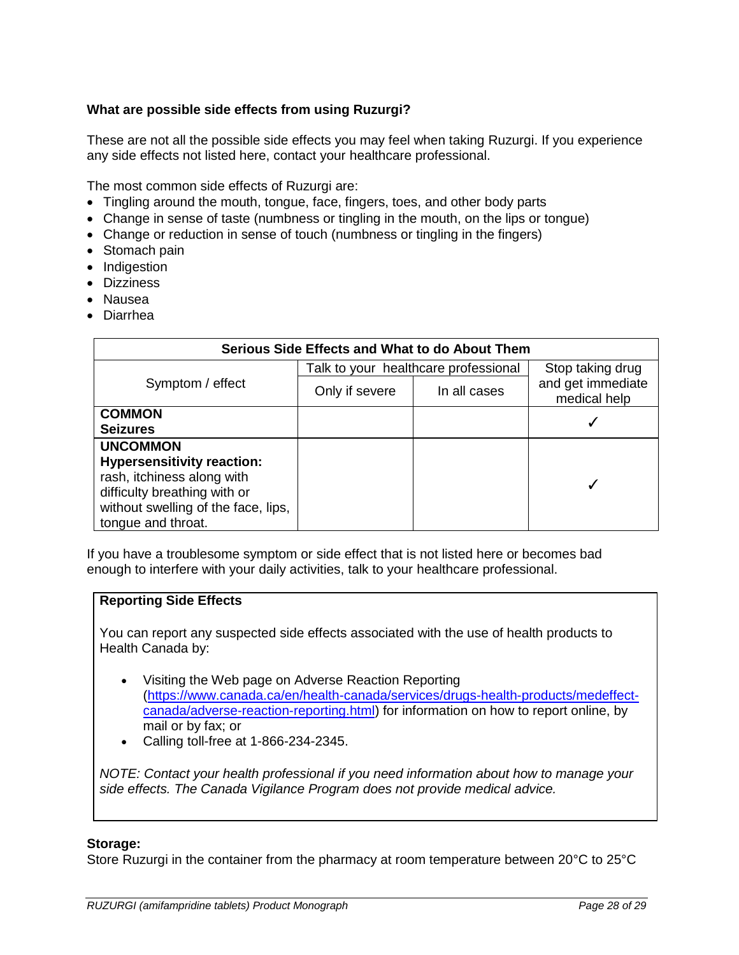# **What are possible side effects from using Ruzurgi?**

These are not all the possible side effects you may feel when taking Ruzurgi. If you experience any side effects not listed here, contact your healthcare professional.

The most common side effects of Ruzurgi are:

- Tingling around the mouth, tongue, face, fingers, toes, and other body parts
- Change in sense of taste (numbness or tingling in the mouth, on the lips or tongue)
- Change or reduction in sense of touch (numbness or tingling in the fingers)
- Stomach pain
- Indigestion
- Dizziness
- Nausea
- Diarrhea

| Serious Side Effects and What to do About Them                                                                                                                                  |                                      |                  |                                   |  |
|---------------------------------------------------------------------------------------------------------------------------------------------------------------------------------|--------------------------------------|------------------|-----------------------------------|--|
|                                                                                                                                                                                 | Talk to your healthcare professional | Stop taking drug |                                   |  |
| Symptom / effect                                                                                                                                                                | Only if severe                       | In all cases     | and get immediate<br>medical help |  |
| <b>COMMON</b><br><b>Seizures</b>                                                                                                                                                |                                      |                  |                                   |  |
| <b>UNCOMMON</b><br><b>Hypersensitivity reaction:</b><br>rash, itchiness along with<br>difficulty breathing with or<br>without swelling of the face, lips,<br>tongue and throat. |                                      |                  |                                   |  |

If you have a troublesome symptom or side effect that is not listed here or becomes bad enough to interfere with your daily activities, talk to your healthcare professional.

#### **Reporting Side Effects**

You can report any suspected side effects associated with the use of health products to Health Canada by:

- Visiting the Web page on Adverse Reaction Reporting [\(https://www.canada.ca/en/health-canada/services/drugs-health-products/medeffect](https://www.canada.ca/en/health-canada/services/drugs-health-products/medeffect-canada/adverse-reaction-reporting.html)[canada/adverse-reaction-reporting.html\)](https://www.canada.ca/en/health-canada/services/drugs-health-products/medeffect-canada/adverse-reaction-reporting.html) for information on how to report online, by mail or by fax; or
- Calling toll-free at 1-866-234-2345.

*NOTE: Contact your health professional if you need information about how to manage your side effects. The Canada Vigilance Program does not provide medical advice.*

#### **Storage:**

Store Ruzurgi in the container from the pharmacy at room temperature between 20°C to 25°C